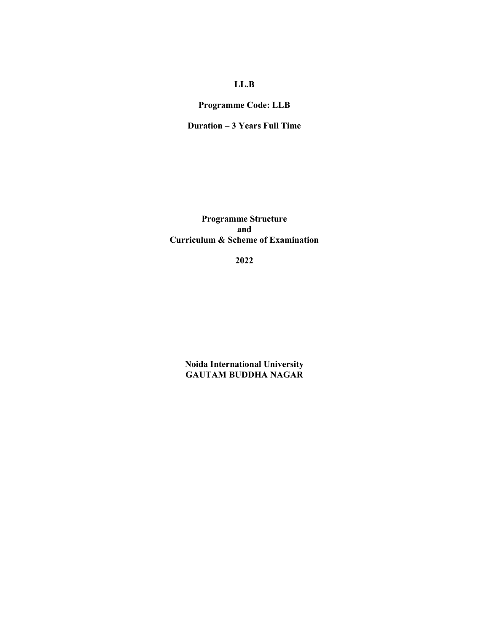# LL.B

# Programme Code: LLB

Duration – 3 Years Full Time

Programme Structure and Curriculum & Scheme of Examination

2022

Noida International University GAUTAM BUDDHA NAGAR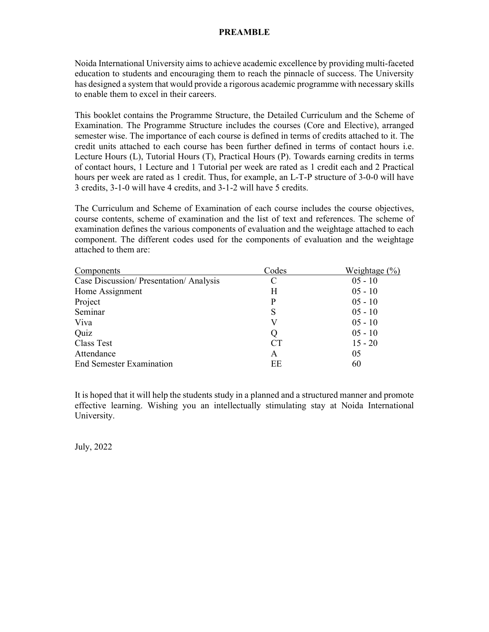#### PREAMBLE

Noida International University aims to achieve academic excellence by providing multi-faceted education to students and encouraging them to reach the pinnacle of success. The University has designed a system that would provide a rigorous academic programme with necessary skills to enable them to excel in their careers.

This booklet contains the Programme Structure, the Detailed Curriculum and the Scheme of Examination. The Programme Structure includes the courses (Core and Elective), arranged semester wise. The importance of each course is defined in terms of credits attached to it. The credit units attached to each course has been further defined in terms of contact hours i.e. Lecture Hours (L), Tutorial Hours (T), Practical Hours (P). Towards earning credits in terms of contact hours, 1 Lecture and 1 Tutorial per week are rated as 1 credit each and 2 Practical hours per week are rated as 1 credit. Thus, for example, an L-T-P structure of 3-0-0 will have 3 credits, 3-1-0 will have 4 credits, and 3-1-2 will have 5 credits.

The Curriculum and Scheme of Examination of each course includes the course objectives, course contents, scheme of examination and the list of text and references. The scheme of examination defines the various components of evaluation and the weightage attached to each component. The different codes used for the components of evaluation and the weightage attached to them are:

| Components                              | Codes     | Weightage $(\frac{6}{6})$ |
|-----------------------------------------|-----------|---------------------------|
| Case Discussion/ Presentation/ Analysis | C         | $05 - 10$                 |
| Home Assignment                         | H         | $05 - 10$                 |
| Project                                 | P         | $05 - 10$                 |
| Seminar                                 | S         | $05 - 10$                 |
| Viva                                    | V         | $05 - 10$                 |
| Quiz                                    |           | $05 - 10$                 |
| Class Test                              | <b>CT</b> | $15 - 20$                 |
| Attendance                              | A         | 05                        |
| <b>End Semester Examination</b>         | EE        | 60                        |

It is hoped that it will help the students study in a planned and a structured manner and promote effective learning. Wishing you an intellectually stimulating stay at Noida International University.

July, 2022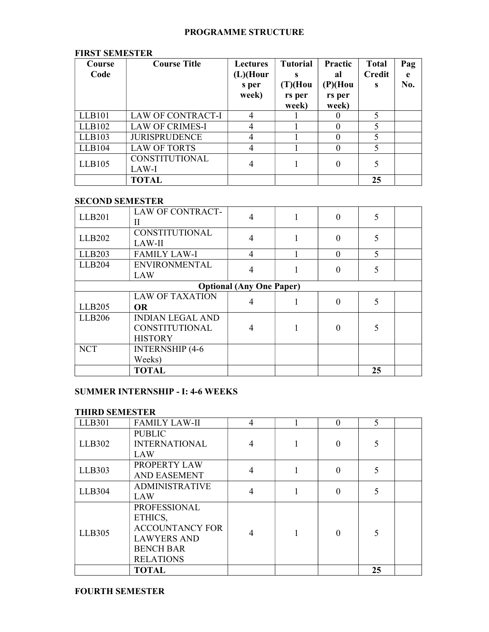#### PROGRAMME STRUCTURE

#### FIRST SEMESTER

| Course<br>Code | <b>Course Title</b>      | <b>Lectures</b><br>$(L)$ (Hour<br>s per<br>week) | <b>Tutorial</b><br>s<br>(T)(Hou<br>rs per<br>week) | Practic<br>al<br>(P)(Hou)<br>rs per<br>week) | <b>Total</b><br><b>Credit</b><br><b>S</b> | Pag<br>e<br>No. |
|----------------|--------------------------|--------------------------------------------------|----------------------------------------------------|----------------------------------------------|-------------------------------------------|-----------------|
| <b>LLB101</b>  | <b>LAW OF CONTRACT-I</b> | $\overline{4}$                                   |                                                    |                                              |                                           |                 |
| LLB102         | <b>LAW OF CRIMES-I</b>   | 4                                                |                                                    |                                              |                                           |                 |
| LLB103         | <b>JURISPRUDENCE</b>     | 4                                                |                                                    |                                              |                                           |                 |
| LLB104         | <b>LAW OF TORTS</b>      |                                                  |                                                    | 0                                            |                                           |                 |
| LLB105         | CONSTITUTIONAL<br>LAW-I  |                                                  |                                                    |                                              |                                           |                 |
|                | <b>TOTAL</b>             |                                                  |                                                    |                                              | 25                                        |                 |

#### SECOND SEMESTER

| <b>LLB201</b> | <b>LAW OF CONTRACT-</b><br>Н                                | 4 |  | $\Omega$ |                          |  |
|---------------|-------------------------------------------------------------|---|--|----------|--------------------------|--|
| <b>LLB202</b> | <b>CONSTITUTIONAL</b><br>LAW-II                             | 4 |  | $\Omega$ | 5                        |  |
| <b>LLB203</b> | <b>FAMILY LAW-I</b>                                         | 4 |  | $\Omega$ | $\overline{\phantom{0}}$ |  |
| <b>LLB204</b> | <b>ENVIRONMENTAL</b><br>LAW                                 | 4 |  | $\theta$ | 5                        |  |
|               | <b>Optional (Any One Paper)</b>                             |   |  |          |                          |  |
| <b>LLB205</b> | <b>LAW OF TAXATION</b><br><b>OR</b>                         | 4 |  | $\theta$ | 5                        |  |
| <b>LLB206</b> | <b>INDIAN LEGAL AND</b><br>CONSTITUTIONAL<br><b>HISTORY</b> | 4 |  | $\Omega$ | 5                        |  |
| <b>NCT</b>    | <b>INTERNSHIP (4-6)</b><br>Weeks)                           |   |  |          |                          |  |
|               | <b>TOTAL</b>                                                |   |  |          | 25                       |  |

# SUMMER INTERNSHIP - I: 4-6 WEEKS

#### THIRD SEMESTER

| <b>LLB301</b> | <b>FAMILY LAW-II</b>   | 4 | $\Omega$ | $\overline{\phantom{0}}$ |  |
|---------------|------------------------|---|----------|--------------------------|--|
|               | <b>PUBLIC</b>          |   |          |                          |  |
| LLB302        | <b>INTERNATIONAL</b>   |   | 0        |                          |  |
|               | LAW                    |   |          |                          |  |
| <b>LLB303</b> | PROPERTY LAW           | 4 | $\Omega$ |                          |  |
|               | <b>AND EASEMENT</b>    |   |          |                          |  |
| <b>LLB304</b> | <b>ADMINISTRATIVE</b>  | 4 | 0        |                          |  |
|               | <b>LAW</b>             |   |          |                          |  |
|               | <b>PROFESSIONAL</b>    |   |          |                          |  |
|               | ETHICS,                |   |          |                          |  |
| <b>LLB305</b> | <b>ACCOUNTANCY FOR</b> |   | 0        |                          |  |
|               | <b>LAWYERS AND</b>     |   |          |                          |  |
|               | <b>BENCH BAR</b>       |   |          |                          |  |
|               | <b>RELATIONS</b>       |   |          |                          |  |
|               | <b>TOTAL</b>           |   |          | 25                       |  |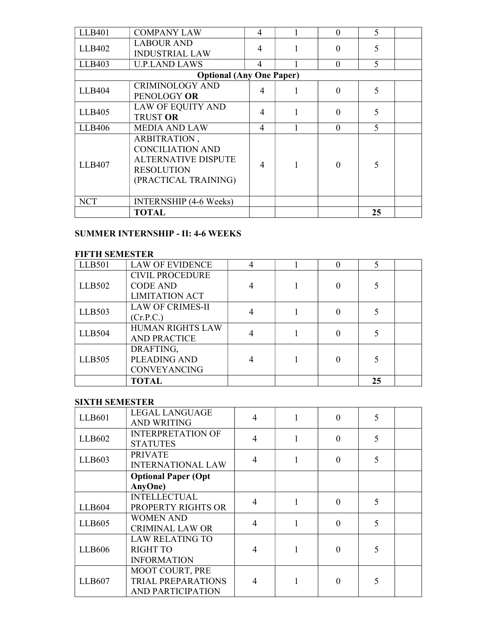| <b>LLB401</b> | <b>COMPANY LAW</b>                                                                                                 | 4              | $\Omega$ | $\overline{\phantom{0}}$ |  |
|---------------|--------------------------------------------------------------------------------------------------------------------|----------------|----------|--------------------------|--|
| LLB402        | <b>LABOUR AND</b><br><b>INDUSTRIAL LAW</b>                                                                         | $\overline{4}$ | $\Omega$ | 5                        |  |
| LLB403        | <b>U.P.LAND LAWS</b>                                                                                               | 4              | $\Omega$ | $\overline{5}$           |  |
|               | <b>Optional (Any One Paper)</b>                                                                                    |                |          |                          |  |
| <b>LLB404</b> | <b>CRIMINOLOGY AND</b><br>PENOLOGY OR                                                                              | 4              | $\Omega$ | 5                        |  |
| LLB405        | <b>LAW OF EQUITY AND</b><br><b>TRUST OR</b>                                                                        | 4              | $\Omega$ | 5                        |  |
| <b>LLB406</b> | <b>MEDIA AND LAW</b>                                                                                               | 4              | $\Omega$ | $\overline{\mathcal{L}}$ |  |
| <b>LLB407</b> | ARBITRATION,<br><b>CONCILIATION AND</b><br><b>ALTERNATIVE DISPUTE</b><br><b>RESOLUTION</b><br>(PRACTICAL TRAINING) | 4              | $\Omega$ | 5                        |  |
| <b>NCT</b>    | <b>INTERNSHIP</b> (4-6 Weeks)                                                                                      |                |          |                          |  |
|               | <b>TOTAL</b>                                                                                                       |                |          | 25                       |  |

# SUMMER INTERNSHIP - II: 4-6 WEEKS

#### FIFTH SEMESTER

| .             |                         |  |    |  |
|---------------|-------------------------|--|----|--|
| LLB501        | <b>LAW OF EVIDENCE</b>  |  |    |  |
|               | <b>CIVIL PROCEDURE</b>  |  |    |  |
| LLB502        | <b>CODE AND</b>         |  |    |  |
|               | <b>LIMITATION ACT</b>   |  |    |  |
|               | <b>LAW OF CRIMES-II</b> |  |    |  |
| <b>LLB503</b> | (Cr.P.C.)               |  |    |  |
| LLB504        | <b>HUMAN RIGHTS LAW</b> |  |    |  |
|               | <b>AND PRACTICE</b>     |  |    |  |
|               | DRAFTING,               |  |    |  |
| LLB505        | PLEADING AND            |  |    |  |
|               | <b>CONVEYANCING</b>     |  |    |  |
|               | <b>TOTAL</b>            |  | 25 |  |

# SIXTH SEMESTER

| LLB601        | <b>LEGAL LANGUAGE</b><br><b>AND WRITING</b> | $\overline{4}$           | $\Omega$ | 5 |  |
|---------------|---------------------------------------------|--------------------------|----------|---|--|
| LLB602        | <b>INTERPRETATION OF</b><br><b>STATUTES</b> | $\overline{\mathcal{A}}$ | 0        |   |  |
| LLB603        | <b>PRIVATE</b><br><b>INTERNATIONAL LAW</b>  | $\overline{4}$           | 0        | 5 |  |
|               | <b>Optional Paper (Opt</b><br>AnyOne)       |                          |          |   |  |
|               | <b>INTELLECTUAL</b>                         |                          |          |   |  |
| <b>LLB604</b> | PROPERTY RIGHTS OR                          | $\overline{\mathcal{A}}$ | 0        | 5 |  |
| LLB605        | <b>WOMEN AND</b><br><b>CRIMINAL LAW OR</b>  | $\overline{\mathcal{A}}$ | 0        |   |  |
|               | <b>LAW RELATING TO</b>                      |                          |          |   |  |
| <b>LLB606</b> | <b>RIGHT TO</b>                             | 4                        | 0        |   |  |
|               | <b>INFORMATION</b>                          |                          |          |   |  |
|               | MOOT COURT, PRE                             |                          |          |   |  |
| <b>LLB607</b> | <b>TRIAL PREPARATIONS</b>                   | 4                        |          |   |  |
|               | AND PARTICIPATION                           |                          |          |   |  |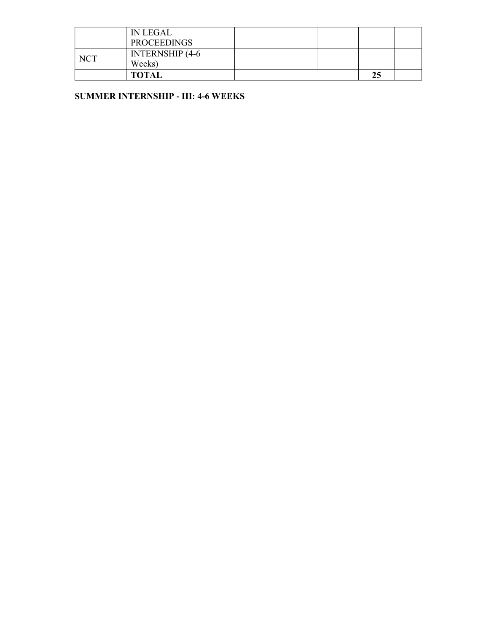|            | IN LEGAL               |  |  |  |
|------------|------------------------|--|--|--|
|            | <b>PROCEEDINGS</b>     |  |  |  |
| <b>NCT</b> | <b>INTERNSHIP (4-6</b> |  |  |  |
|            | Weeks)                 |  |  |  |
|            | <b>TOTAL</b>           |  |  |  |

# SUMMER INTERNSHIP - III: 4-6 WEEKS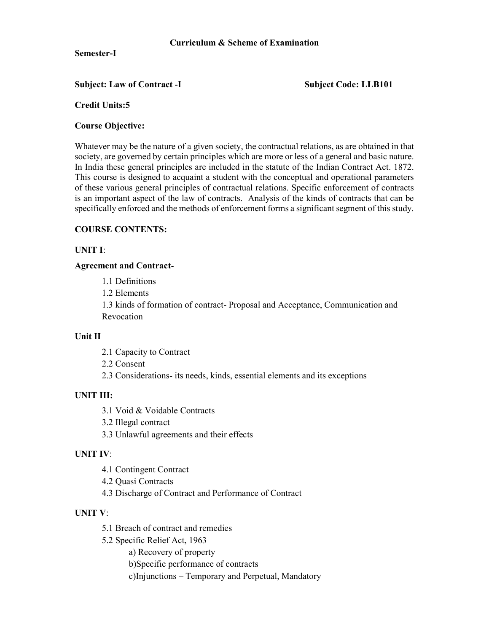Semester-I

#### Subject: Law of Contract -I Subject Code: LLB101

Credit Units:5

#### Course Objective:

Whatever may be the nature of a given society, the contractual relations, as are obtained in that society, are governed by certain principles which are more or less of a general and basic nature. In India these general principles are included in the statute of the Indian Contract Act. 1872. This course is designed to acquaint a student with the conceptual and operational parameters of these various general principles of contractual relations. Specific enforcement of contracts is an important aspect of the law of contracts. Analysis of the kinds of contracts that can be specifically enforced and the methods of enforcement forms a significant segment of this study.

#### COURSE CONTENTS:

# UNIT I:

#### Agreement and Contract-

1.1 Definitions

1.2 Elements

1.3 kinds of formation of contract- Proposal and Acceptance, Communication and Revocation

#### Unit II

2.1 Capacity to Contract

2.2 Consent

2.3 Considerations- its needs, kinds, essential elements and its exceptions

# UNIT III:

- 3.1 Void & Voidable Contracts
- 3.2 Illegal contract
- 3.3 Unlawful agreements and their effects

# UNIT IV:

- 4.1 Contingent Contract
- 4.2 Quasi Contracts
- 4.3 Discharge of Contract and Performance of Contract

# UNIT V:

- 5.1 Breach of contract and remedies
- 5.2 Specific Relief Act, 1963

a) Recovery of property

b)Specific performance of contracts

c)Injunctions – Temporary and Perpetual, Mandatory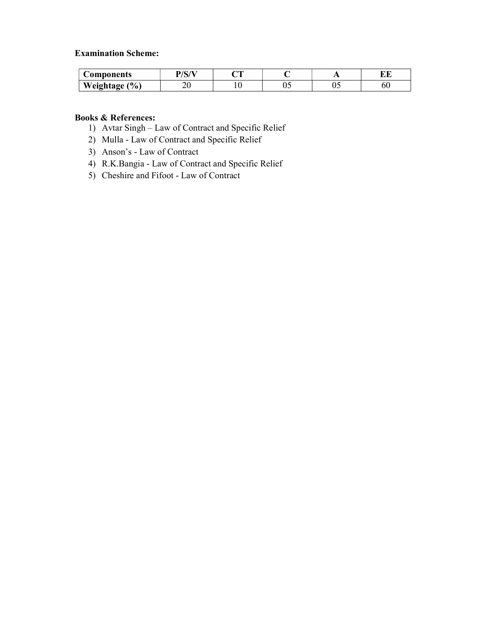| Components                      | $\mathbf{D}/\mathbf{C}/\mathbf{F}$<br>◡ | חר<br>◡ |    |           | -- |
|---------------------------------|-----------------------------------------|---------|----|-----------|----|
| Weightage<br>$(0)$ <sub>0</sub> |                                         |         | ັັ | ∩ ⊆<br>v. | υυ |

- 1) Avtar Singh Law of Contract and Specific Relief
- 2) Mulla Law of Contract and Specific Relief
- 3) Anson's Law of Contract
- 4) R.K.Bangia Law of Contract and Specific Relief
- 5) Cheshire and Fifoot Law of Contract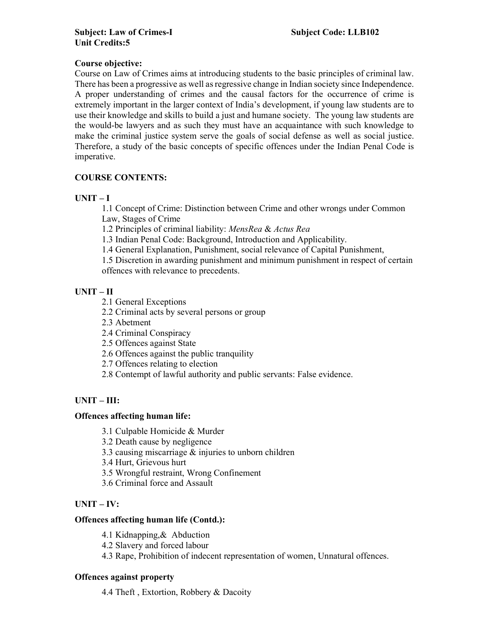Course on Law of Crimes aims at introducing students to the basic principles of criminal law. There has been a progressive as well as regressive change in Indian society since Independence. A proper understanding of crimes and the causal factors for the occurrence of crime is extremely important in the larger context of India's development, if young law students are to use their knowledge and skills to build a just and humane society. The young law students are the would-be lawyers and as such they must have an acquaintance with such knowledge to make the criminal justice system serve the goals of social defense as well as social justice. Therefore, a study of the basic concepts of specific offences under the Indian Penal Code is imperative.

# COURSE CONTENTS:

# UNIT – I

1.1 Concept of Crime: Distinction between Crime and other wrongs under Common Law, Stages of Crime

1.2 Principles of criminal liability: MensRea & Actus Rea

1.3 Indian Penal Code: Background, Introduction and Applicability.

1.4 General Explanation, Punishment, social relevance of Capital Punishment,

1.5 Discretion in awarding punishment and minimum punishment in respect of certain offences with relevance to precedents.

# UNIT – II

2.1 General Exceptions

2.2 Criminal acts by several persons or group

- 2.3 Abetment
- 2.4 Criminal Conspiracy
- 2.5 Offences against State
- 2.6 Offences against the public tranquility
- 2.7 Offences relating to election
- 2.8 Contempt of lawful authority and public servants: False evidence.

# UNIT – III:

#### Offences affecting human life:

- 3.1 Culpable Homicide & Murder
- 3.2 Death cause by negligence
- 3.3 causing miscarriage & injuries to unborn children
- 3.4 Hurt, Grievous hurt
- 3.5 Wrongful restraint, Wrong Confinement
- 3.6 Criminal force and Assault

# UNIT – IV:

#### Offences affecting human life (Contd.):

- 4.1 Kidnapping,& Abduction
- 4.2 Slavery and forced labour
- 4.3 Rape, Prohibition of indecent representation of women, Unnatural offences.

# Offences against property

4.4 Theft , Extortion, Robbery & Dacoity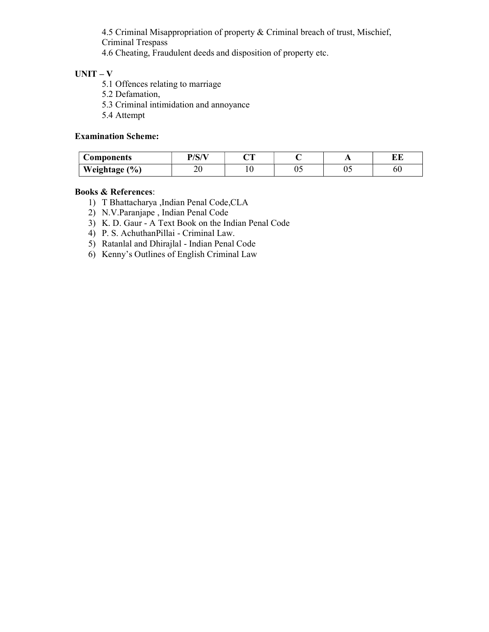4.5 Criminal Misappropriation of property & Criminal breach of trust, Mischief, Criminal Trespass 4.6 Cheating, Fraudulent deeds and disposition of property etc.

# $UNIT - V$

5.1 Offences relating to marriage

5.2 Defamation,

5.3 Criminal intimidation and annoyance

5.4 Attempt

#### Examination Scheme:

| Components         | D/C/V | $\sim$ |    | . . | ש פ |
|--------------------|-------|--------|----|-----|-----|
| (0/0)<br>Weightage | ∠∪    |        | ◡◡ | υ.  | ov  |

- 1) T Bhattacharya ,Indian Penal Code,CLA
- 2) N.V.Paranjape , Indian Penal Code
- 3) K. D. Gaur A Text Book on the Indian Penal Code
- 4) P. S. AchuthanPillai Criminal Law.
- 5) Ratanlal and Dhirajlal Indian Penal Code
- 6) Kenny's Outlines of English Criminal Law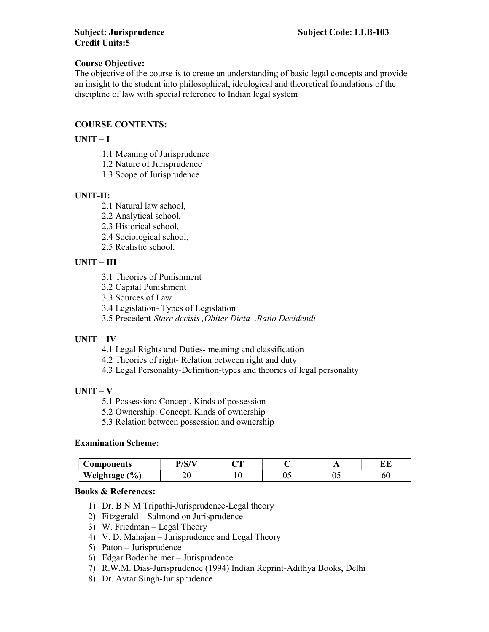The objective of the course is to create an understanding of basic legal concepts and provide an insight to the student into philosophical, ideological and theoretical foundations of the discipline of law with special reference to Indian legal system

# COURSE CONTENTS:

# UNIT – I

- 1.1 Meaning of Jurisprudence
- 1.2 Nature of Jurisprudence
- 1.3 Scope of Jurisprudence

# UNIT-II:

- 2.1 Natural law school,
- 2.2 Analytical school,
- 2.3 Historical school,
- 2.4 Sociological school,
- 2.5 Realistic school.

# UNIT – III

- 3.1 Theories of Punishment
- 3.2 Capital Punishment
- 3.3 Sources of Law
- 3.4 Legislation- Types of Legislation
- 3.5 Precedent-Stare decisis ,Obiter Dicta ,Ratio Decidendi

# UNIT – IV

- 4.1 Legal Rights and Duties- meaning and classification
- 4.2 Theories of right- Relation between right and duty
- 4.3 Legal Personality-Definition-types and theories of legal personality

# UNIT – V

- 5.1 Possession: Concept, Kinds of possession
- 5.2 Ownership: Concept, Kinds of ownership
- 5.3 Relation between possession and ownership

#### Examination Scheme:

| <b>Components</b>          | $\mathbf{D}/\mathbf{C}/\mathbf{V}$<br>້ | n m |    | . . | --<br>பப |
|----------------------------|-----------------------------------------|-----|----|-----|----------|
| $\frac{1}{2}$<br>Weightage | ົ<br>∠∪                                 |     | ັັ | ∪~  | υv       |

- 1) Dr. B N M Tripathi-Jurisprudence-Legal theory
- 2) Fitzgerald Salmond on Jurisprudence.
- 3) W. Friedman Legal Theory
- 4) V. D. Mahajan Jurisprudence and Legal Theory
- 5) Paton Jurisprudence
- 6) Edgar Bodenheimer Jurisprudence
- 7) R.W.M. Dias-Jurisprudence (1994) Indian Reprint-Adithya Books, Delhi
- 8) Dr. Avtar Singh-Jurisprudence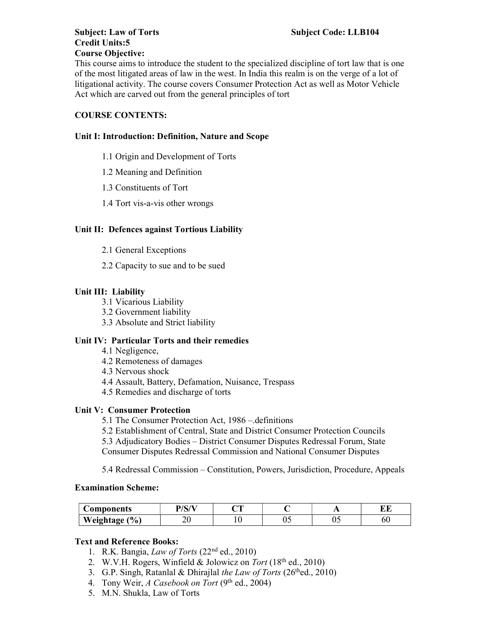# Credit Units:5 Course Objective:

This course aims to introduce the student to the specialized discipline of tort law that is one of the most litigated areas of law in the west. In India this realm is on the verge of a lot of litigational activity. The course covers Consumer Protection Act as well as Motor Vehicle Act which are carved out from the general principles of tort

# COURSE CONTENTS:

# Unit I: Introduction: Definition, Nature and Scope

- 1.1 Origin and Development of Torts
- 1.2 Meaning and Definition
- 1.3 Constituents of Tort
- 1.4 Tort vis-a-vis other wrongs

# Unit II: Defences against Tortious Liability

- 2.1 General Exceptions
- 2.2 Capacity to sue and to be sued

#### Unit III: Liability

- 3.1 Vicarious Liability
- 3.2 Government liability
- 3.3 Absolute and Strict liability

#### Unit IV: Particular Torts and their remedies

- 4.1 Negligence,
- 4.2 Remoteness of damages
- 4.3 Nervous shock
- 4.4 Assault, Battery, Defamation, Nuisance, Trespass
- 4.5 Remedies and discharge of torts

#### Unit V: Consumer Protection

- 5.1 The Consumer Protection Act, 1986 –.definitions
- 5.2 Establishment of Central, State and District Consumer Protection Councils

5.3 Adjudicatory Bodies – District Consumer Disputes Redressal Forum, State

Consumer Disputes Redressal Commission and National Consumer Disputes

5.4 Redressal Commission – Constitution, Powers, Jurisdiction, Procedure, Appeals

#### Examination Scheme:

| Components                 | P/(C/T)<br>◡ | $\sim$ |    | . . |    |
|----------------------------|--------------|--------|----|-----|----|
| Weightage<br>$\frac{9}{6}$ | ີ            | ⊥ ∪    | ັັ | ∪~  | vv |

#### Text and Reference Books:

- 1. R.K. Bangia, Law of Torts  $(22<sup>nd</sup>$  ed., 2010)
- 2. W.V.H. Rogers, Winfield & Jolowicz on Tort (18th ed., 2010)
- 3. G.P. Singh, Ratanlal & Dhirajlal the Law of Torts ( $26<sup>th</sup>$ ed., 2010)
- 4. Tony Weir, A Casebook on Tort  $(9<sup>th</sup>$  ed., 2004)
- 5. M.N. Shukla, Law of Torts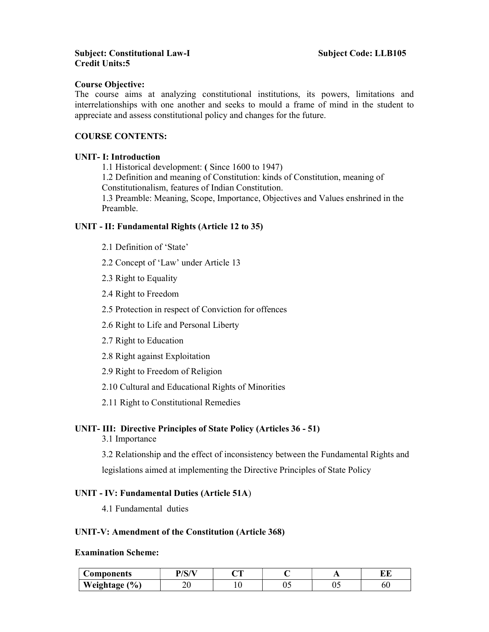#### Subject: Constitutional Law-I Subject Code: LLB105 Credit Units:5

#### Course Objective:

The course aims at analyzing constitutional institutions, its powers, limitations and interrelationships with one another and seeks to mould a frame of mind in the student to appreciate and assess constitutional policy and changes for the future.

# COURSE CONTENTS:

#### UNIT- I: Introduction

1.1 Historical development: ( Since 1600 to 1947)

1.2 Definition and meaning of Constitution: kinds of Constitution, meaning of Constitutionalism, features of Indian Constitution.

1.3 Preamble: Meaning, Scope, Importance, Objectives and Values enshrined in the Preamble.

#### UNIT - II: Fundamental Rights (Article 12 to 35)

- 2.1 Definition of 'State'
- 2.2 Concept of 'Law' under Article 13
- 2.3 Right to Equality
- 2.4 Right to Freedom
- 2.5 Protection in respect of Conviction for offences
- 2.6 Right to Life and Personal Liberty
- 2.7 Right to Education
- 2.8 Right against Exploitation
- 2.9 Right to Freedom of Religion
- 2.10 Cultural and Educational Rights of Minorities
- 2.11 Right to Constitutional Remedies

#### UNIT- III: Directive Principles of State Policy (Articles 36 - 51)

3.1 Importance

3.2 Relationship and the effect of inconsistency between the Fundamental Rights and legislations aimed at implementing the Directive Principles of State Policy

#### UNIT - IV: Fundamental Duties (Article 51A)

4.1 Fundamental duties

#### UNIT-V: Amendment of the Constitution (Article 368)

#### Examination Scheme:

| Components                   | D/C/VI<br>◡ | $\gamma$<br>– ≖ | . . | -- |
|------------------------------|-------------|-----------------|-----|----|
| Weightage<br>$\mathcal{O}_0$ | ∠∪          | ιv              | ∪~  | υv |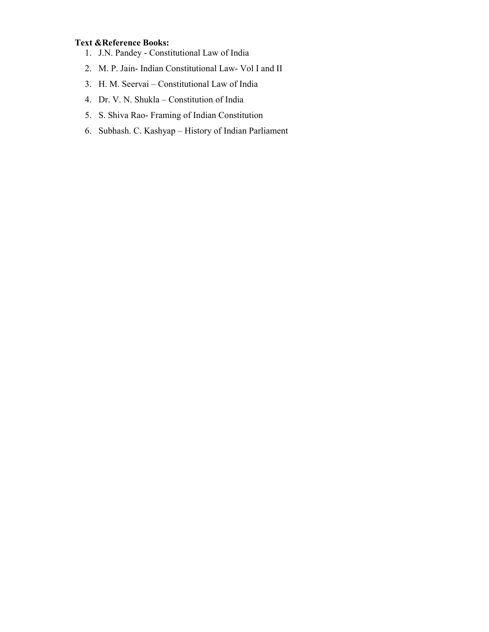#### Text &Reference Books:

- 1. J.N. Pandey Constitutional Law of India
- 2. M. P. Jain- Indian Constitutional Law- Vol I and II
- 3. H. M. Seervai Constitutional Law of India
- 4. Dr. V. N. Shukla Constitution of India
- 5. S. Shiva Rao- Framing of Indian Constitution
- 6. Subhash. C. Kashyap History of Indian Parliament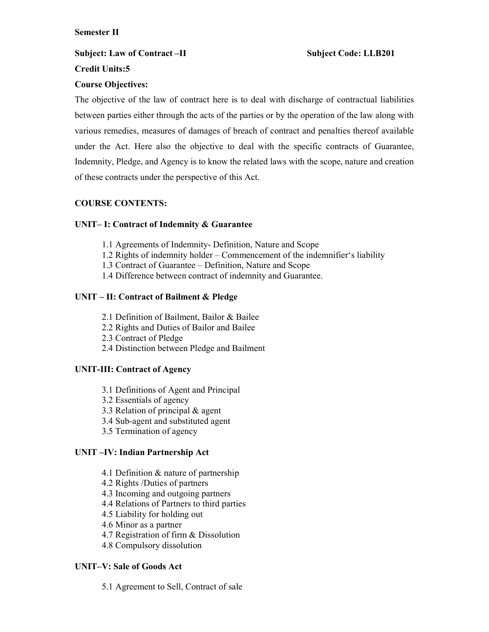#### Semester II

# Subject: Law of Contract –II Subject Code: LLB201

# Credit Units:5

#### Course Objectives:

The objective of the law of contract here is to deal with discharge of contractual liabilities between parties either through the acts of the parties or by the operation of the law along with various remedies, measures of damages of breach of contract and penalties thereof available under the Act. Here also the objective to deal with the specific contracts of Guarantee, Indemnity, Pledge, and Agency is to know the related laws with the scope, nature and creation of these contracts under the perspective of this Act.

#### COURSE CONTENTS:

#### UNIT– I: Contract of Indemnity & Guarantee

- 1.1 Agreements of Indemnity- Definition, Nature and Scope
- 1.2 Rights of indemnity holder Commencement of the indemnifier's liability
- 1.3 Contract of Guarantee Definition, Nature and Scope
- 1.4 Difference between contract of indemnity and Guarantee.

#### UNIT – II: Contract of Bailment & Pledge

- 2.1 Definition of Bailment, Bailor & Bailee
- 2.2 Rights and Duties of Bailor and Bailee
- 2.3 Contract of Pledge
- 2.4 Distinction between Pledge and Bailment

# UNIT-III: Contract of Agency

- 3.1 Definitions of Agent and Principal
- 3.2 Essentials of agency
- 3.3 Relation of principal & agent
- 3.4 Sub-agent and substituted agent
- 3.5 Termination of agency

# UNIT –IV: Indian Partnership Act

- 4.1 Definition & nature of partnership
- 4.2 Rights /Duties of partners
- 4.3 Incoming and outgoing partners
- 4.4 Relations of Partners to third parties
- 4.5 Liability for holding out
- 4.6 Minor as a partner
- 4.7 Registration of firm & Dissolution
- 4.8 Compulsory dissolution

# UNIT–V: Sale of Goods Act

5.1 Agreement to Sell, Contract of sale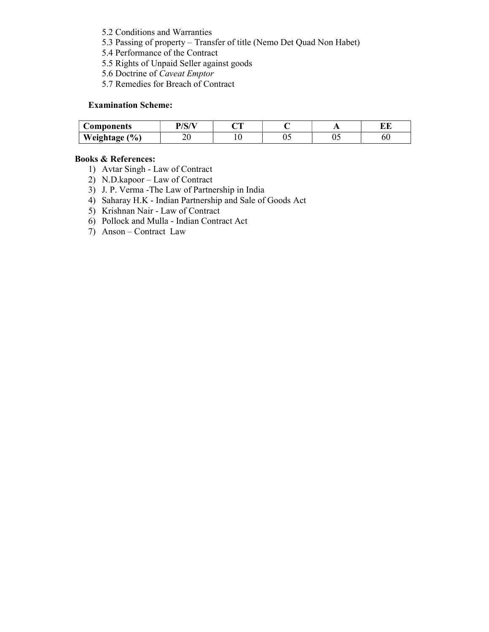- 5.2 Conditions and Warranties
- 5.3 Passing of property Transfer of title (Nemo Det Quad Non Habet)
- 5.4 Performance of the Contract
- 5.5 Rights of Unpaid Seller against goods
- 5.6 Doctrine of Caveat Emptor
- 5.7 Remedies for Breach of Contract

| Components                   | D/C/VI<br>ᄓ      | $\sim$<br>. . |    | -- |
|------------------------------|------------------|---------------|----|----|
| $\frac{(0)}{0}$<br>Weightage | $\Delta$ r<br>∠∪ | v             | v. | υv |

- 1) Avtar Singh Law of Contract
- 2) N.D.kapoor Law of Contract
- 3) J. P. Verma -The Law of Partnership in India
- 4) Saharay H.K Indian Partnership and Sale of Goods Act
- 5) Krishnan Nair Law of Contract
- 6) Pollock and Mulla Indian Contract Act
- 7) Anson Contract Law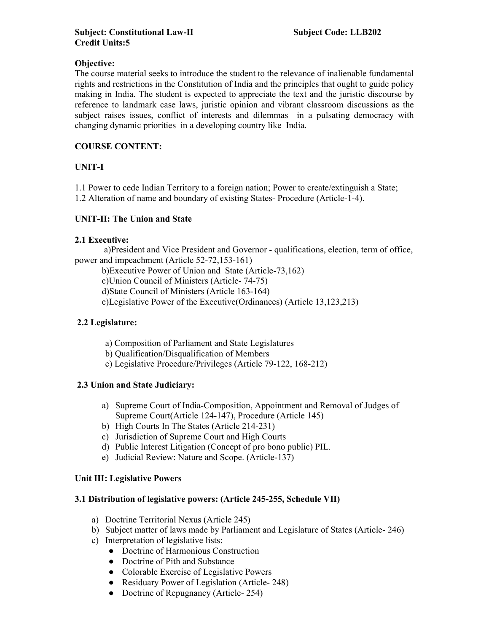# Objective:

The course material seeks to introduce the student to the relevance of inalienable fundamental rights and restrictions in the Constitution of India and the principles that ought to guide policy making in India. The student is expected to appreciate the text and the juristic discourse by reference to landmark case laws, juristic opinion and vibrant classroom discussions as the subject raises issues, conflict of interests and dilemmas in a pulsating democracy with changing dynamic priorities in a developing country like India.

# COURSE CONTENT:

# UNIT-I

1.1 Power to cede Indian Territory to a foreign nation; Power to create/extinguish a State;

1.2 Alteration of name and boundary of existing States- Procedure (Article-1-4).

# UNIT-II: The Union and State

# 2.1 Executive:

 a)President and Vice President and Governor - qualifications, election, term of office, power and impeachment (Article 52-72,153-161)

b)Executive Power of Union and State (Article-73,162)

c)Union Council of Ministers (Article- 74-75)

d)State Council of Ministers (Article 163-164)

e)Legislative Power of the Executive(Ordinances) (Article 13,123,213)

# 2.2 Legislature:

- a) Composition of Parliament and State Legislatures
- b) Qualification/Disqualification of Members
- c) Legislative Procedure/Privileges (Article 79-122, 168-212)

# 2.3 Union and State Judiciary:

- a) Supreme Court of India-Composition, Appointment and Removal of Judges of Supreme Court(Article 124-147), Procedure (Article 145)
- b) High Courts In The States (Article 214-231)
- c) Jurisdiction of Supreme Court and High Courts
- d) Public Interest Litigation (Concept of pro bono public) PIL.
- e) Judicial Review: Nature and Scope. (Article-137)

# Unit III: Legislative Powers

# 3.1 Distribution of legislative powers: (Article 245-255, Schedule VII)

- a) Doctrine Territorial Nexus (Article 245)
- b) Subject matter of laws made by Parliament and Legislature of States (Article- 246)
- c) Interpretation of legislative lists:
	- Doctrine of Harmonious Construction
	- Doctrine of Pith and Substance
	- Colorable Exercise of Legislative Powers
	- Residuary Power of Legislation (Article- 248)
	- Doctrine of Repugnancy (Article- 254)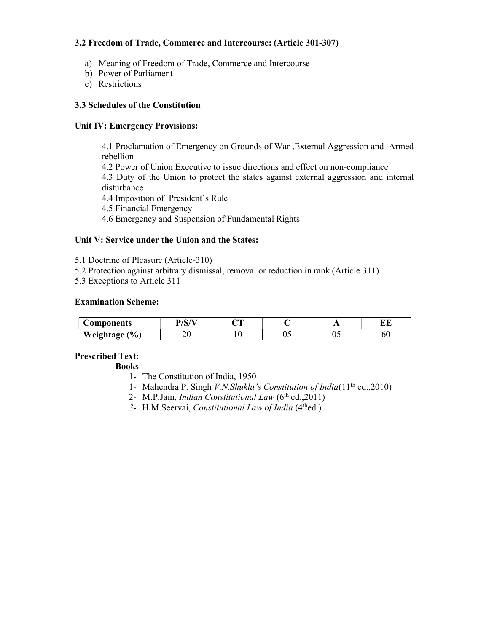#### 3.2 Freedom of Trade, Commerce and Intercourse: (Article 301-307)

- a) Meaning of Freedom of Trade, Commerce and Intercourse
- b) Power of Parliament
- c) Restrictions

#### 3.3 Schedules of the Constitution

#### Unit IV: Emergency Provisions:

4.1 Proclamation of Emergency on Grounds of War ,External Aggression and Armed rebellion 4.2 Power of Union Executive to issue directions and effect on non-compliance

4.3 Duty of the Union to protect the states against external aggression and internal disturbance

4.4 Imposition of President's Rule

4.5 Financial Emergency

4.6 Emergency and Suspension of Fundamental Rights

#### Unit V: Service under the Union and the States:

- 5.1 Doctrine of Pleasure (Article-310)
- 5.2 Protection against arbitrary dismissal, removal or reduction in rank (Article 311)
- 5.3 Exceptions to Article 311

#### Examination Scheme:

| Components             | $\mathbf{D}$ / $\mathbf{C}$ / $\mathbf{V}$ =<br>וטו | $\sim$<br>~ <b>*</b> |    | . . | --<br>ப |
|------------------------|-----------------------------------------------------|----------------------|----|-----|---------|
| Weightage $(\% )$<br>ᇰ | ້                                                   | ν                    | ◡、 | ◡~  | OU      |

#### Prescribed Text:

**Books** 

- 1- The Constitution of India, 1950
- 1- Mahendra P. Singh *V.N.Shukla's Constitution of India*( $11<sup>th</sup>$  ed.,2010)
- 2- M.P.Jain, *Indian Constitutional Law*  $(6<sup>th</sup> ed., 2011)$
- 3- H.M.Seervai, Constitutional Law of India (4thed.)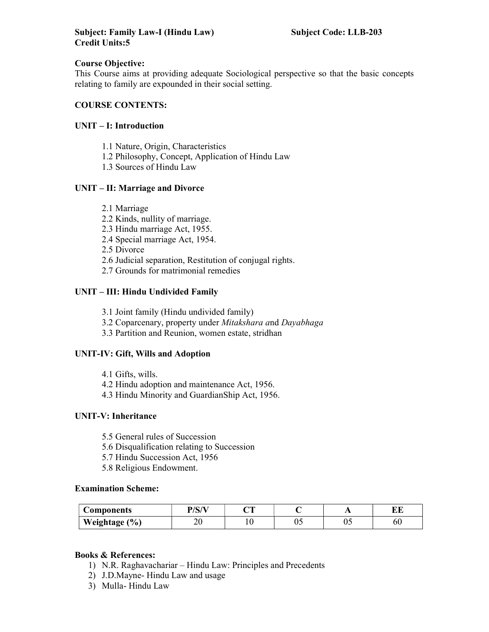This Course aims at providing adequate Sociological perspective so that the basic concepts relating to family are expounded in their social setting.

#### COURSE CONTENTS:

#### UNIT – I: Introduction

- 1.1 Nature, Origin, Characteristics
- 1.2 Philosophy, Concept, Application of Hindu Law
- 1.3 Sources of Hindu Law

#### UNIT – II: Marriage and Divorce

- 2.1 Marriage
- 2.2 Kinds, nullity of marriage.
- 2.3 Hindu marriage Act, 1955.
- 2.4 Special marriage Act, 1954.

2.5 Divorce

- 2.6 Judicial separation, Restitution of conjugal rights.
- 2.7 Grounds for matrimonial remedies

# UNIT – III: Hindu Undivided Family

- 3.1 Joint family (Hindu undivided family)
- 3.2 Coparcenary, property under Mitakshara and Dayabhaga
- 3.3 Partition and Reunion, women estate, stridhan

# UNIT-IV: Gift, Wills and Adoption

- 4.1 Gifts, wills.
- 4.2 Hindu adoption and maintenance Act, 1956.
- 4.3 Hindu Minority and GuardianShip Act, 1956.

#### UNIT-V: Inheritance

- 5.5 General rules of Succession
- 5.6 Disqualification relating to Succession
- 5.7 Hindu Succession Act, 1956
- 5.8 Religious Endowment.

#### Examination Scheme:

| Components                  | D/C/N    | $\sim$ |     |                |    |
|-----------------------------|----------|--------|-----|----------------|----|
| $\frac{10}{6}$<br>Weightage | ٦٥<br>∠∪ |        | ◡ ◡ | $\Omega$<br>v. | υU |

- 1) N.R. Raghavachariar Hindu Law: Principles and Precedents
- 2) J.D.Mayne- Hindu Law and usage
- 3) Mulla- Hindu Law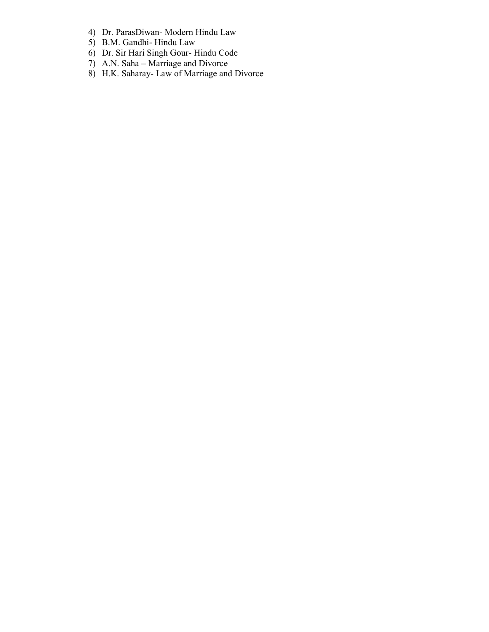- 4) Dr. ParasDiwan- Modern Hindu Law
- 5) B.M. Gandhi- Hindu Law
- 6) Dr. Sir Hari Singh Gour- Hindu Code
- 7) A.N. Saha Marriage and Divorce
- 8) H.K. Saharay- Law of Marriage and Divorce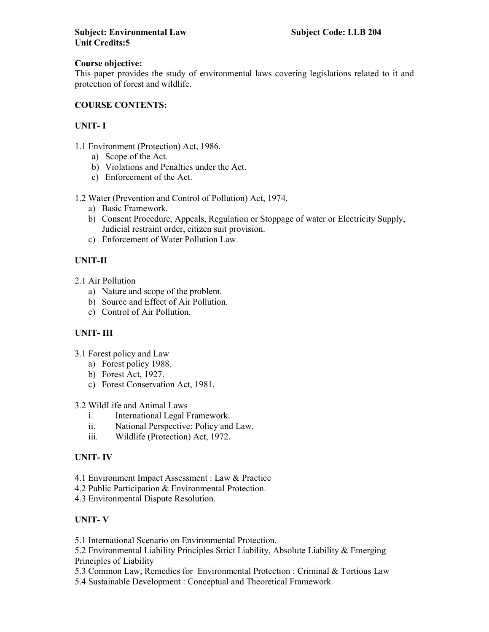This paper provides the study of environmental laws covering legislations related to it and protection of forest and wildlife.

#### COURSE CONTENTS:

# UNIT- I

1.1 Environment (Protection) Act, 1986.

- a) Scope of the Act.
- b) Violations and Penalties under the Act.
- c) Enforcement of the Act.
- 1.2 Water (Prevention and Control of Pollution) Act, 1974.
	- a) Basic Framework.
	- b) Consent Procedure, Appeals, Regulation or Stoppage of water or Electricity Supply, Judicial restraint order, citizen suit provision.
	- c) Enforcement of Water Pollution Law.

# UNIT-II

- 2.1 Air Pollution
	- a) Nature and scope of the problem.
	- b) Source and Effect of Air Pollution.
	- c) Control of Air Pollution.

# UNIT- III

- 3.1 Forest policy and Law
	- a) Forest policy 1988.
	- b) Forest Act, 1927.
	- c) Forest Conservation Act, 1981.
- 3.2 WildLife and Animal Laws
	- i. International Legal Framework.
	- ii. National Perspective: Policy and Law.
	- iii. Wildlife (Protection) Act, 1972.

# UNIT- IV

- 4.1 Environment Impact Assessment : Law & Practice
- 4.2 Public Participation & Environmental Protection.
- 4.3 Environmental Dispute Resolution.

# UNIT- V

5.1 International Scenario on Environmental Protection.

5.2 Environmental Liability Principles Strict Liability, Absolute Liability & Emerging Principles of Liability

- 5.3 Common Law, Remedies for Environmental Protection : Criminal & Tortious Law
- 5.4 Sustainable Development : Conceptual and Theoretical Framework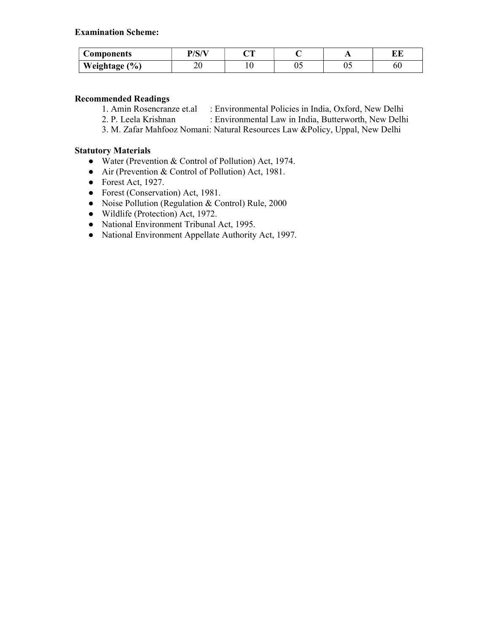| Components    | $\mathbf{D}$ / $\mathbf{C}$ / $\mathbf{V}$ :<br>$\mathcal{L}$ | $\sim$ | $\overline{ }$ | <b>DIE</b> |
|---------------|---------------------------------------------------------------|--------|----------------|------------|
| Weightage (%) | ∠∪                                                            |        | υ.             | ı<br>υυ    |

# Recommended Readings

- 1. Amin Rosencranze et.al : Environmental Policies in India, Oxford, New Delhi
- 2. P. Leela Krishnan : Environmental Law in India, Butterworth, New Delhi
- 3. M. Zafar Mahfooz Nomani: Natural Resources Law &Policy, Uppal, New Delhi

#### Statutory Materials

- Water (Prevention & Control of Pollution) Act, 1974.
- Air (Prevention & Control of Pollution) Act, 1981.
- $\bullet$  Forest Act, 1927.
- Forest (Conservation) Act, 1981.
- Noise Pollution (Regulation & Control) Rule, 2000
- Wildlife (Protection) Act, 1972.
- National Environment Tribunal Act, 1995.
- National Environment Appellate Authority Act, 1997.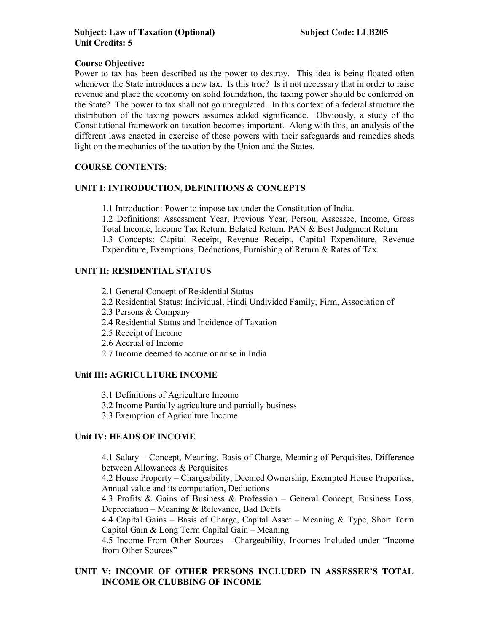Power to tax has been described as the power to destroy. This idea is being floated often whenever the State introduces a new tax. Is this true? Is it not necessary that in order to raise revenue and place the economy on solid foundation, the taxing power should be conferred on the State? The power to tax shall not go unregulated. In this context of a federal structure the distribution of the taxing powers assumes added significance. Obviously, a study of the Constitutional framework on taxation becomes important. Along with this, an analysis of the different laws enacted in exercise of these powers with their safeguards and remedies sheds light on the mechanics of the taxation by the Union and the States.

# COURSE CONTENTS:

#### UNIT I: INTRODUCTION, DEFINITIONS & CONCEPTS

1.1 Introduction: Power to impose tax under the Constitution of India.

1.2 Definitions: Assessment Year, Previous Year, Person, Assessee, Income, Gross Total Income, Income Tax Return, Belated Return, PAN & Best Judgment Return 1.3 Concepts: Capital Receipt, Revenue Receipt, Capital Expenditure, Revenue Expenditure, Exemptions, Deductions, Furnishing of Return & Rates of Tax

#### UNIT II: RESIDENTIAL STATUS

2.1 General Concept of Residential Status

- 2.2 Residential Status: Individual, Hindi Undivided Family, Firm, Association of
- 2.3 Persons & Company
- 2.4 Residential Status and Incidence of Taxation
- 2.5 Receipt of Income
- 2.6 Accrual of Income
- 2.7 Income deemed to accrue or arise in India

#### Unit III: AGRICULTURE INCOME

3.1 Definitions of Agriculture Income

- 3.2 Income Partially agriculture and partially business
- 3.3 Exemption of Agriculture Income

#### Unit IV: HEADS OF INCOME

4.1 Salary – Concept, Meaning, Basis of Charge, Meaning of Perquisites, Difference between Allowances & Perquisites

4.2 House Property – Chargeability, Deemed Ownership, Exempted House Properties, Annual value and its computation, Deductions

4.3 Profits & Gains of Business & Profession – General Concept, Business Loss, Depreciation – Meaning & Relevance, Bad Debts

4.4 Capital Gains – Basis of Charge, Capital Asset – Meaning & Type, Short Term Capital Gain & Long Term Capital Gain – Meaning

4.5 Income From Other Sources – Chargeability, Incomes Included under "Income from Other Sources"

#### UNIT V: INCOME OF OTHER PERSONS INCLUDED IN ASSESSEE'S TOTAL INCOME OR CLUBBING OF INCOME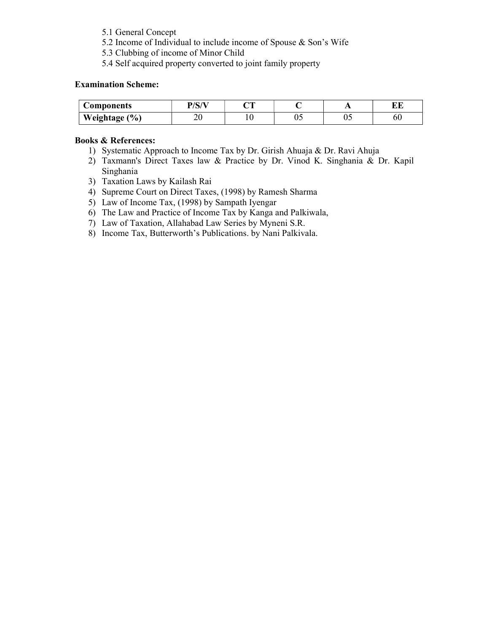- 5.1 General Concept
- 5.2 Income of Individual to include income of Spouse & Son's Wife
- 5.3 Clubbing of income of Minor Child
- 5.4 Self acquired property converted to joint family property

| <b>Components</b> | D/C/V | $\sim$ |    | $\overline{ }$ | IN IT |
|-------------------|-------|--------|----|----------------|-------|
| Weightage (%)     | ∠∪    |        | ັບ | υ.             | ov    |

- 1) Systematic Approach to Income Tax by Dr. Girish Ahuaja & Dr. Ravi Ahuja
- 2) Taxmann's Direct Taxes law & Practice by Dr. Vinod K. Singhania & Dr. Kapil Singhania
- 3) Taxation Laws by Kailash Rai
- 4) Supreme Court on Direct Taxes, (1998) by Ramesh Sharma
- 5) Law of Income Tax, (1998) by Sampath Iyengar
- 6) The Law and Practice of Income Tax by Kanga and Palkiwala,
- 7) Law of Taxation, Allahabad Law Series by Myneni S.R.
- 8) Income Tax, Butterworth's Publications. by Nani Palkivala.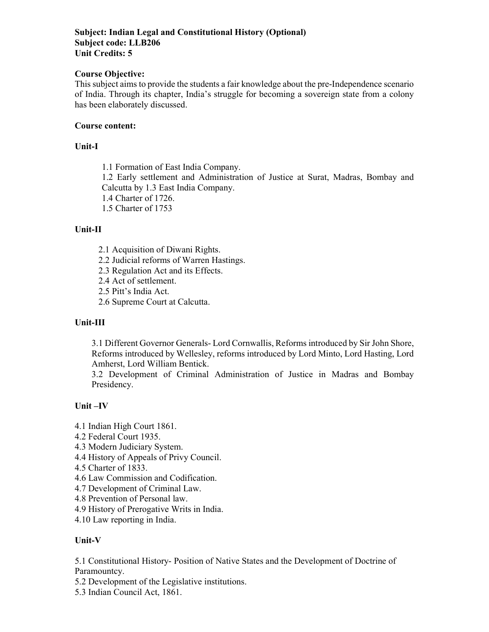#### Subject: Indian Legal and Constitutional History (Optional) Subject code: LLB206 Unit Credits: 5

#### Course Objective:

This subject aims to provide the students a fair knowledge about the pre-Independence scenario of India. Through its chapter, India's struggle for becoming a sovereign state from a colony has been elaborately discussed.

#### Course content:

#### Unit-I

1.1 Formation of East India Company.

1.2 Early settlement and Administration of Justice at Surat, Madras, Bombay and Calcutta by 1.3 East India Company.

1.4 Charter of 1726.

1.5 Charter of 1753

#### Unit-II

- 2.1 Acquisition of Diwani Rights.
- 2.2 Judicial reforms of Warren Hastings.
- 2.3 Regulation Act and its Effects.
- 2.4 Act of settlement.
- 2.5 Pitt's India Act.
- 2.6 Supreme Court at Calcutta.

#### Unit-III

3.1 Different Governor Generals- Lord Cornwallis, Reforms introduced by Sir John Shore, Reforms introduced by Wellesley, reforms introduced by Lord Minto, Lord Hasting, Lord Amherst, Lord William Bentick.

3.2 Development of Criminal Administration of Justice in Madras and Bombay Presidency.

#### Unit –IV

- 4.1 Indian High Court 1861.
- 4.2 Federal Court 1935.
- 4.3 Modern Judiciary System.
- 4.4 History of Appeals of Privy Council.
- 4.5 Charter of 1833.
- 4.6 Law Commission and Codification.
- 4.7 Development of Criminal Law.
- 4.8 Prevention of Personal law.
- 4.9 History of Prerogative Writs in India.
- 4.10 Law reporting in India.

#### Unit-V

5.1 Constitutional History- Position of Native States and the Development of Doctrine of Paramountcy.

- 5.2 Development of the Legislative institutions.
- 5.3 Indian Council Act, 1861.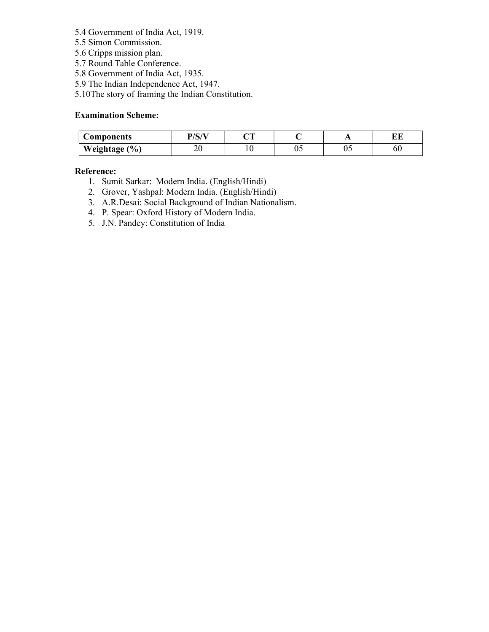- 5.4 Government of India Act, 1919.
- 5.5 Simon Commission.
- 5.6 Cripps mission plan.
- 5.7 Round Table Conference.
- 5.8 Government of India Act, 1935.
- 5.9 The Indian Independence Act, 1947.
- 5.10The story of framing the Indian Constitution.

| Components    | $\mathbf{D}$ $\mathbf{C}$ $\mathbf{A}$ | $\sim$ |    | . . | --<br>שנע |
|---------------|----------------------------------------|--------|----|-----|-----------|
| Weightage (%) | ∠∪                                     |        | ∪~ | υ.  | ov        |

#### Reference:

- 1. Sumit Sarkar: Modern India. (English/Hindi)
- 2. Grover, Yashpal: Modern India. (English/Hindi)
- 3. A.R.Desai: Social Background of Indian Nationalism.
- 4. P. Spear: Oxford History of Modern India.
- 5. J.N. Pandey: Constitution of India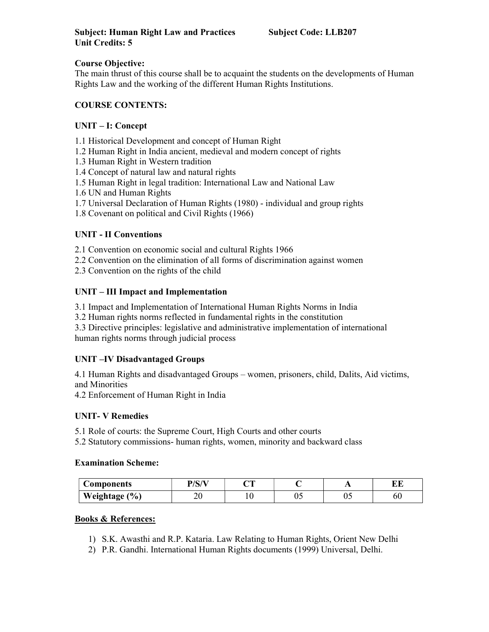The main thrust of this course shall be to acquaint the students on the developments of Human Rights Law and the working of the different Human Rights Institutions.

#### COURSE CONTENTS:

#### UNIT – I: Concept

- 1.1 Historical Development and concept of Human Right
- 1.2 Human Right in India ancient, medieval and modern concept of rights
- 1.3 Human Right in Western tradition
- 1.4 Concept of natural law and natural rights
- 1.5 Human Right in legal tradition: International Law and National Law
- 1.6 UN and Human Rights
- 1.7 Universal Declaration of Human Rights (1980) individual and group rights
- 1.8 Covenant on political and Civil Rights (1966)

# UNIT - II Conventions

- 2.1 Convention on economic social and cultural Rights 1966
- 2.2 Convention on the elimination of all forms of discrimination against women
- 2.3 Convention on the rights of the child

#### UNIT – III Impact and Implementation

3.1 Impact and Implementation of International Human Rights Norms in India

3.2 Human rights norms reflected in fundamental rights in the constitution

3.3 Directive principles: legislative and administrative implementation of international human rights norms through judicial process

# UNIT –IV Disadvantaged Groups

4.1 Human Rights and disadvantaged Groups – women, prisoners, child, Dalits, Aid victims, and Minorities

4.2 Enforcement of Human Right in India

#### UNIT- V Remedies

- 5.1 Role of courts: the Supreme Court, High Courts and other courts
- 5.2 Statutory commissions- human rights, women, minority and backward class

#### Examination Scheme:

| Components    | D/C/V | $\sim$<br>◡ |        | . .          | <b>TIT</b><br>ĽЦ |
|---------------|-------|-------------|--------|--------------|------------------|
| Weightage (%) | ∠∪    |             | $\cup$ | $\mathsf{U}$ | ou               |

- 1) S.K. Awasthi and R.P. Kataria. Law Relating to Human Rights, Orient New Delhi
- 2) P.R. Gandhi. International Human Rights documents (1999) Universal, Delhi.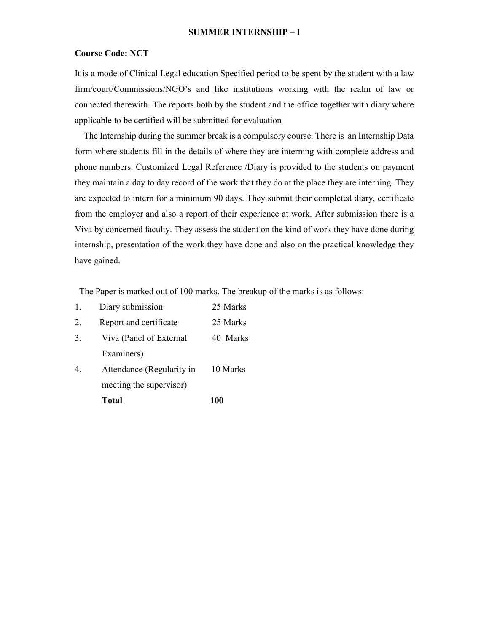#### SUMMER INTERNSHIP – I

#### Course Code: NCT

It is a mode of Clinical Legal education Specified period to be spent by the student with a law firm/court/Commissions/NGO's and like institutions working with the realm of law or connected therewith. The reports both by the student and the office together with diary where applicable to be certified will be submitted for evaluation

 The Internship during the summer break is a compulsory course. There is an Internship Data form where students fill in the details of where they are interning with complete address and phone numbers. Customized Legal Reference /Diary is provided to the students on payment they maintain a day to day record of the work that they do at the place they are interning. They are expected to intern for a minimum 90 days. They submit their completed diary, certificate from the employer and also a report of their experience at work. After submission there is a Viva by concerned faculty. They assess the student on the kind of work they have done during internship, presentation of the work they have done and also on the practical knowledge they have gained.

The Paper is marked out of 100 marks. The breakup of the marks is as follows:

|    | <b>Total</b>              | <b>100</b> |
|----|---------------------------|------------|
|    | meeting the supervisor)   |            |
| 4. | Attendance (Regularity in | 10 Marks   |
|    | Examiners)                |            |
| 3. | Viva (Panel of External   | 40 Marks   |
| 2. | Report and certificate    | 25 Marks   |
| 1. | Diary submission          | 25 Marks   |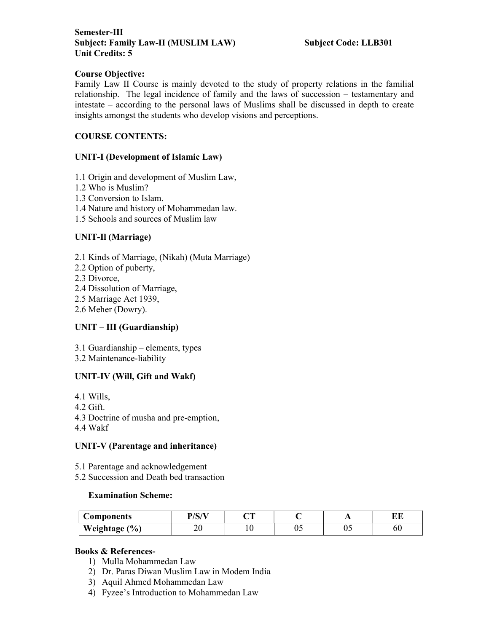#### Semester-III Subject: Family Law-II (MUSLIM LAW) Subject Code: LLB301 Unit Credits: 5

#### Course Objective:

Family Law II Course is mainly devoted to the study of property relations in the familial relationship. The legal incidence of family and the laws of succession – testamentary and intestate – according to the personal laws of Muslims shall be discussed in depth to create insights amongst the students who develop visions and perceptions.

# COURSE CONTENTS:

#### UNIT-I (Development of Islamic Law)

- 1.1 Origin and development of Muslim Law,
- 1.2 Who is Muslim?
- 1.3 Conversion to Islam.
- 1.4 Nature and history of Mohammedan law.
- 1.5 Schools and sources of Muslim law

# UNIT-Il (Marriage)

- 2.1 Kinds of Marriage, (Nikah) (Muta Marriage)
- 2.2 Option of puberty,
- 2.3 Divorce,
- 2.4 Dissolution of Marriage,
- 2.5 Marriage Act 1939,
- 2.6 Meher (Dowry).

# UNIT – III (Guardianship)

- 3.1 Guardianship elements, types
- 3.2 Maintenance-liability

# UNIT-IV (Will, Gift and Wakf)

- 4.1 Wills,
- 4.2 Gift.
- 4.3 Doctrine of musha and pre-emption,
- 4.4 Wakf

# UNIT-V (Parentage and inheritance)

- 5.1 Parentage and acknowledgement
- 5.2 Succession and Death bed transaction

#### Examination Scheme:

| Components    | $\mathbf{D}$ /C /J $\lambda$ | ~~ |    |         | שנש |
|---------------|------------------------------|----|----|---------|-----|
| Weightage (%) | ∠∪                           |    | ∪~ | ⌒<br>v. | დ   |

- 1) Mulla Mohammedan Law
- 2) Dr. Paras Diwan Muslim Law in Modem India
- 3) Aquil Ahmed Mohammedan Law
- 4) Fyzee's Introduction to Mohammedan Law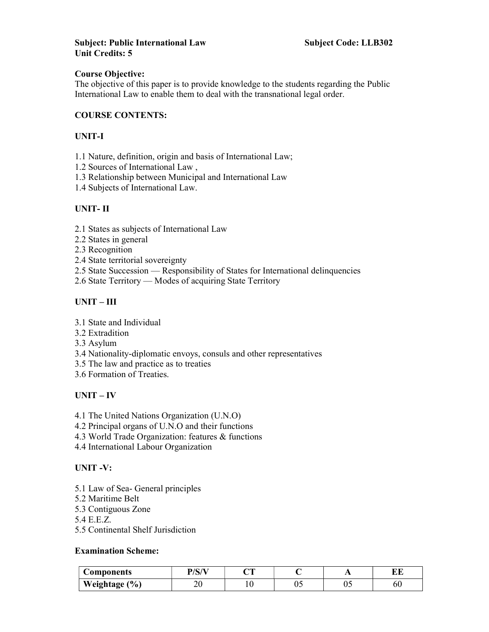The objective of this paper is to provide knowledge to the students regarding the Public International Law to enable them to deal with the transnational legal order.

#### COURSE CONTENTS:

#### UNIT-I

- 1.1 Nature, definition, origin and basis of International Law;
- 1.2 Sources of International Law ,
- 1.3 Relationship between Municipal and International Law
- 1.4 Subjects of International Law.

# UNIT- II

- 2.1 States as subjects of International Law
- 2.2 States in general
- 2.3 Recognition
- 2.4 State territorial sovereignty
- 2.5 State Succession Responsibility of States for International delinquencies
- 2.6 State Territory Modes of acquiring State Territory

# UNIT – III

- 3.1 State and Individual
- 3.2 Extradition
- 3.3 Asylum
- 3.4 Nationality-diplomatic envoys, consuls and other representatives
- 3.5 The law and practice as to treaties
- 3.6 Formation of Treaties.

# UNIT – IV

- 4.1 The United Nations Organization (U.N.O)
- 4.2 Principal organs of U.N.O and their functions
- 4.3 World Trade Organization: features & functions
- 4.4 International Labour Organization

# UNIT -V:

- 5.1 Law of Sea- General principles
- 5.2 Maritime Belt
- 5.3 Contiguous Zone
- 5.4 E.E.Z.
- 5.5 Continental Shelf Jurisdiction

# Examination Scheme:

| Components                        | D/C/N | $\sim$ |     |          | ĽЦ |
|-----------------------------------|-------|--------|-----|----------|----|
| $\frac{1}{2}$<br><b>Weightage</b> | ∠∪    |        | ◡ ◡ | ∩∠<br>∪~ | υU |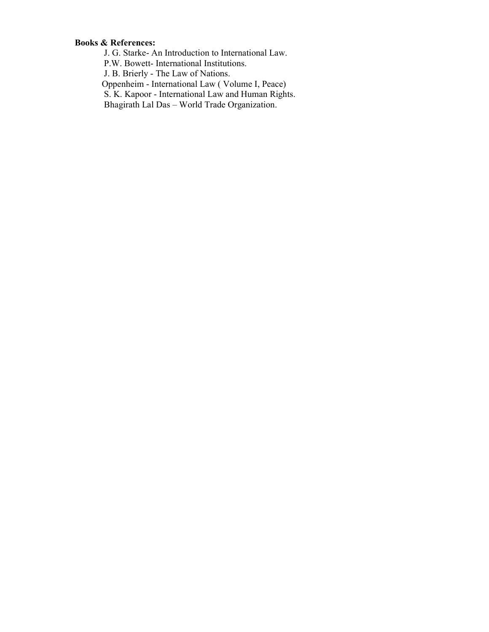#### Books & References:

J. G. Starke- An Introduction to International Law.

P.W. Bowett- International Institutions.

J. B. Brierly - The Law of Nations.

Oppenheim - International Law ( Volume I, Peace)

S. K. Kapoor - International Law and Human Rights.

Bhagirath Lal Das – World Trade Organization.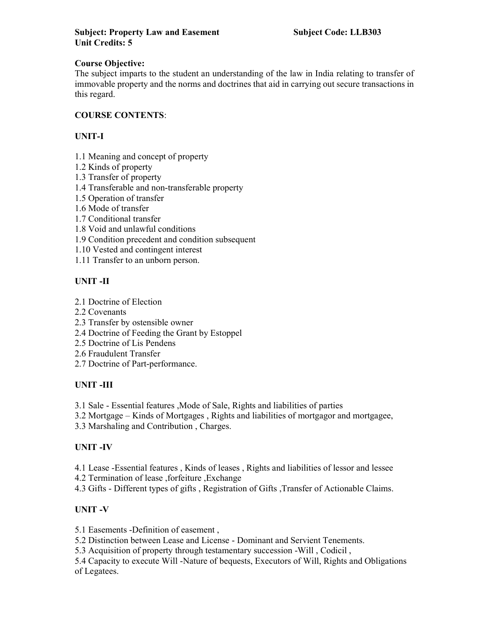The subject imparts to the student an understanding of the law in India relating to transfer of immovable property and the norms and doctrines that aid in carrying out secure transactions in this regard.

# COURSE CONTENTS:

# UNIT-I

- 1.1 Meaning and concept of property
- 1.2 Kinds of property
- 1.3 Transfer of property
- 1.4 Transferable and non-transferable property
- 1.5 Operation of transfer
- 1.6 Mode of transfer
- 1.7 Conditional transfer
- 1.8 Void and unlawful conditions
- 1.9 Condition precedent and condition subsequent
- 1.10 Vested and contingent interest
- 1.11 Transfer to an unborn person.

# UNIT -II

- 2.1 Doctrine of Election
- 2.2 Covenants
- 2.3 Transfer by ostensible owner
- 2.4 Doctrine of Feeding the Grant by Estoppel
- 2.5 Doctrine of Lis Pendens
- 2.6 Fraudulent Transfer
- 2.7 Doctrine of Part-performance.

# UNIT -III

- 3.1 Sale Essential features ,Mode of Sale, Rights and liabilities of parties
- 3.2 Mortgage Kinds of Mortgages , Rights and liabilities of mortgagor and mortgagee,
- 3.3 Marshaling and Contribution , Charges.

# UNIT -IV

4.1 Lease -Essential features , Kinds of leases , Rights and liabilities of lessor and lessee

- 4.2 Termination of lease ,forfeiture ,Exchange
- 4.3 Gifts Different types of gifts , Registration of Gifts ,Transfer of Actionable Claims.

# UNIT -V

5.1 Easements -Definition of easement ,

5.2 Distinction between Lease and License - Dominant and Servient Tenements.

5.3 Acquisition of property through testamentary succession -Will , Codicil ,

5.4 Capacity to execute Will -Nature of bequests, Executors of Will, Rights and Obligations of Legatees.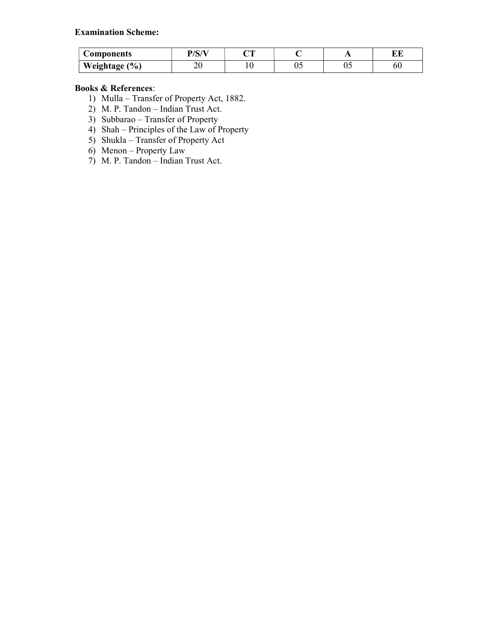| Components    | $\mathbf{D}/\mathbf{C}/\mathbf{V}$ | $\sim$ |    | . . | <b>DID</b><br>СC |
|---------------|------------------------------------|--------|----|-----|------------------|
| Weightage (%) | ∠∪                                 |        | ◡◡ | υ.  | 60               |

- 1) Mulla Transfer of Property Act, 1882.
- 2) M. P. Tandon Indian Trust Act.
- 3) Subbarao Transfer of Property
- 4) Shah Principles of the Law of Property
- 5) Shukla Transfer of Property Act
- $6)$  Menon Property Law
- 7) M. P. Tandon Indian Trust Act.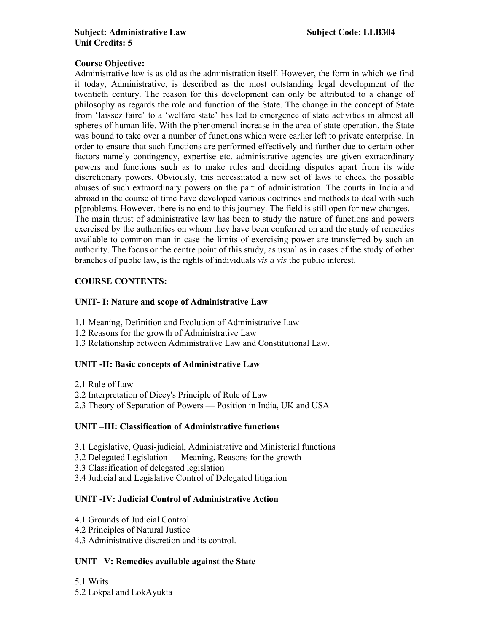Administrative law is as old as the administration itself. However, the form in which we find it today, Administrative, is described as the most outstanding legal development of the twentieth century. The reason for this development can only be attributed to a change of philosophy as regards the role and function of the State. The change in the concept of State from 'laissez faire' to a 'welfare state' has led to emergence of state activities in almost all spheres of human life. With the phenomenal increase in the area of state operation, the State was bound to take over a number of functions which were earlier left to private enterprise. In order to ensure that such functions are performed effectively and further due to certain other factors namely contingency, expertise etc. administrative agencies are given extraordinary powers and functions such as to make rules and deciding disputes apart from its wide discretionary powers. Obviously, this necessitated a new set of laws to check the possible abuses of such extraordinary powers on the part of administration. The courts in India and abroad in the course of time have developed various doctrines and methods to deal with such p[problems. However, there is no end to this journey. The field is still open for new changes. The main thrust of administrative law has been to study the nature of functions and powers exercised by the authorities on whom they have been conferred on and the study of remedies available to common man in case the limits of exercising power are transferred by such an authority. The focus or the centre point of this study, as usual as in cases of the study of other branches of public law, is the rights of individuals vis a vis the public interest.

# COURSE CONTENTS:

# UNIT- I: Nature and scope of Administrative Law

- 1.1 Meaning, Definition and Evolution of Administrative Law
- 1.2 Reasons for the growth of Administrative Law
- 1.3 Relationship between Administrative Law and Constitutional Law.

# UNIT -II: Basic concepts of Administrative Law

- 2.1 Rule of Law
- 2.2 Interpretation of Dicey's Principle of Rule of Law
- 2.3 Theory of Separation of Powers Position in India, UK and USA

# UNIT –III: Classification of Administrative functions

- 3.1 Legislative, Quasi-judicial, Administrative and Ministerial functions
- 3.2 Delegated Legislation Meaning, Reasons for the growth
- 3.3 Classification of delegated legislation
- 3.4 Judicial and Legislative Control of Delegated litigation

# UNIT -IV: Judicial Control of Administrative Action

- 4.1 Grounds of Judicial Control
- 4.2 Principles of Natural Justice
- 4.3 Administrative discretion and its control.

# UNIT –V: Remedies available against the State

5.1 Writs 5.2 Lokpal and LokAyukta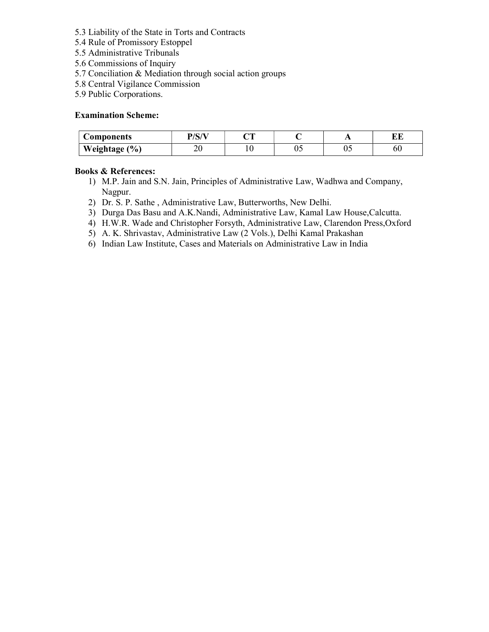- 5.3 Liability of the State in Torts and Contracts
- 5.4 Rule of Promissory Estoppel
- 5.5 Administrative Tribunals
- 5.6 Commissions of Inquiry
- 5.7 Conciliation & Mediation through social action groups
- 5.8 Central Vigilance Commission
- 5.9 Public Corporations.

| <b>Components</b> | $\mathbf{D}$ $\mathbf{C}$ $\mathbf{A}$ | $\sim$ |        | <u>. .</u> | -- |
|-------------------|----------------------------------------|--------|--------|------------|----|
| Weightage (%)     | ∠∪                                     |        | $\cup$ | ∪~         | 6U |

- 1) M.P. Jain and S.N. Jain, Principles of Administrative Law, Wadhwa and Company, Nagpur.
- 2) Dr. S. P. Sathe , Administrative Law, Butterworths, New Delhi.
- 3) Durga Das Basu and A.K.Nandi, Administrative Law, Kamal Law House,Calcutta.
- 4) H.W.R. Wade and Christopher Forsyth, Administrative Law, Clarendon Press,Oxford
- 5) A. K. Shrivastav, Administrative Law (2 Vols.), Delhi Kamal Prakashan
- 6) Indian Law Institute, Cases and Materials on Administrative Law in India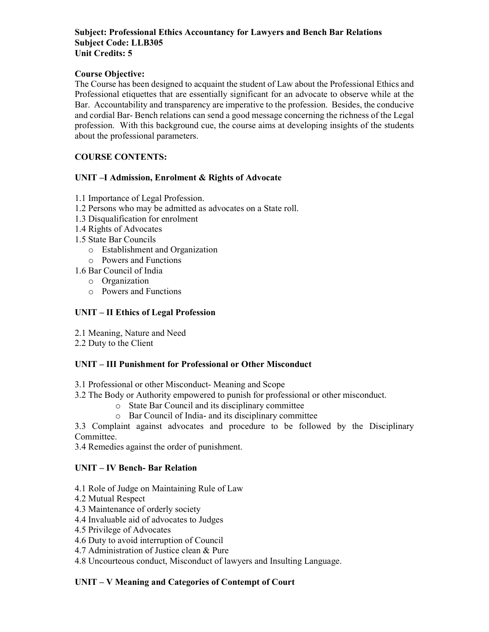#### Subject: Professional Ethics Accountancy for Lawyers and Bench Bar Relations Subject Code: LLB305 Unit Credits: 5

#### Course Objective:

The Course has been designed to acquaint the student of Law about the Professional Ethics and Professional etiquettes that are essentially significant for an advocate to observe while at the Bar. Accountability and transparency are imperative to the profession. Besides, the conducive and cordial Bar- Bench relations can send a good message concerning the richness of the Legal profession. With this background cue, the course aims at developing insights of the students about the professional parameters.

# COURSE CONTENTS:

# UNIT –I Admission, Enrolment & Rights of Advocate

- 1.1 Importance of Legal Profession.
- 1.2 Persons who may be admitted as advocates on a State roll.
- 1.3 Disqualification for enrolment
- 1.4 Rights of Advocates
- 1.5 State Bar Councils
	- o Establishment and Organization
	- o Powers and Functions
- 1.6 Bar Council of India
	- o Organization
	- o Powers and Functions

#### UNIT – II Ethics of Legal Profession

- 2.1 Meaning, Nature and Need
- 2.2 Duty to the Client

# UNIT – III Punishment for Professional or Other Misconduct

- 3.1 Professional or other Misconduct- Meaning and Scope
- 3.2 The Body or Authority empowered to punish for professional or other misconduct.
	- o State Bar Council and its disciplinary committee
	- o Bar Council of India- and its disciplinary committee

3.3 Complaint against advocates and procedure to be followed by the Disciplinary Committee.

3.4 Remedies against the order of punishment.

# UNIT – IV Bench- Bar Relation

- 4.1 Role of Judge on Maintaining Rule of Law
- 4.2 Mutual Respect
- 4.3 Maintenance of orderly society
- 4.4 Invaluable aid of advocates to Judges
- 4.5 Privilege of Advocates
- 4.6 Duty to avoid interruption of Council
- 4.7 Administration of Justice clean & Pure
- 4.8 Uncourteous conduct, Misconduct of lawyers and Insulting Language.

#### UNIT – V Meaning and Categories of Contempt of Court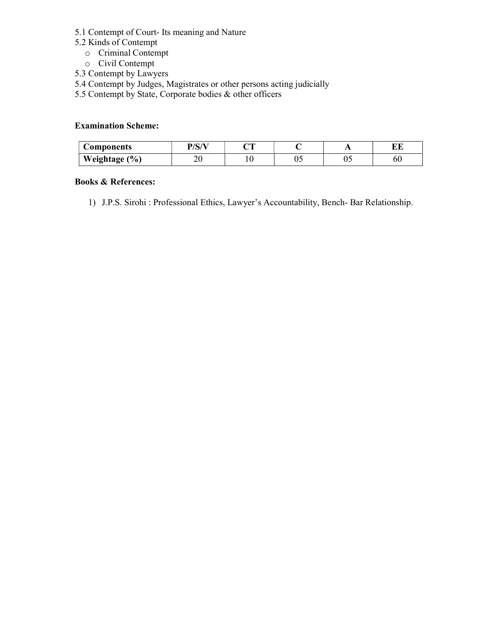- 5.1 Contempt of Court- Its meaning and Nature
- 5.2 Kinds of Contempt
	- o Criminal Contempt
	- o Civil Contempt
- 5.3 Contempt by Lawyers
- 5.4 Contempt by Judges, Magistrates or other persons acting judicially
- 5.5 Contempt by State, Corporate bodies & other officers

| Components    | D/C/V<br>IJ | $\sim$ |    |    | <b>LID</b><br>ĽШ |
|---------------|-------------|--------|----|----|------------------|
| Weightage (%) | ∠∪          |        | υ. | υ. | ou               |

# Books & References:

1) J.P.S. Sirohi : Professional Ethics, Lawyer's Accountability, Bench- Bar Relationship.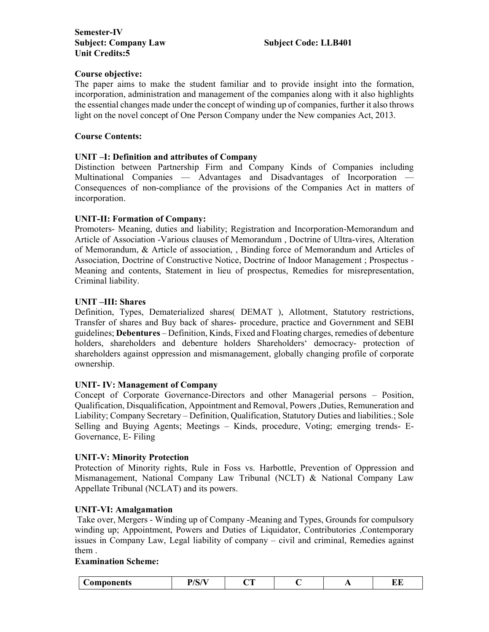### Course objective:

The paper aims to make the student familiar and to provide insight into the formation, incorporation, administration and management of the companies along with it also highlights the essential changes made under the concept of winding up of companies, further it also throws light on the novel concept of One Person Company under the New companies Act, 2013.

### Course Contents:

### UNIT –I: Definition and attributes of Company

Distinction between Partnership Firm and Company Kinds of Companies including Multinational Companies — Advantages and Disadvantages of Incorporation — Consequences of non-compliance of the provisions of the Companies Act in matters of incorporation.

### UNIT-II: Formation of Company:

Promoters- Meaning, duties and liability; Registration and Incorporation-Memorandum and Article of Association -Various clauses of Memorandum , Doctrine of Ultra-vires, Alteration of Memorandum, & Article of association, , Binding force of Memorandum and Articles of Association, Doctrine of Constructive Notice, Doctrine of Indoor Management ; Prospectus - Meaning and contents, Statement in lieu of prospectus, Remedies for misrepresentation, Criminal liability.

### UNIT –III: Shares

Definition, Types, Dematerialized shares( DEMAT ), Allotment, Statutory restrictions, Transfer of shares and Buy back of shares- procedure, practice and Government and SEBI guidelines; Debentures – Definition, Kinds, Fixed and Floating charges, remedies of debenture holders, shareholders and debenture holders Shareholders' democracy- protection of shareholders against oppression and mismanagement, globally changing profile of corporate ownership.

### UNIT- IV: Management of Company

Concept of Corporate Governance-Directors and other Managerial persons – Position, Qualification, Disqualification, Appointment and Removal, Powers ,Duties, Remuneration and Liability; Company Secretary – Definition, Qualification, Statutory Duties and liabilities.; Sole Selling and Buying Agents; Meetings – Kinds, procedure, Voting; emerging trends- E-Governance, E- Filing

### UNIT-V: Minority Protection

Protection of Minority rights, Rule in Foss vs. Harbottle, Prevention of Oppression and Mismanagement, National Company Law Tribunal (NCLT) & National Company Law Appellate Tribunal (NCLAT) and its powers.

### UNIT-VI: Amalgamation

 Take over, Mergers - Winding up of Company -Meaning and Types, Grounds for compulsory winding up; Appointment, Powers and Duties of Liquidator, Contributories ,Contemporary issues in Company Law, Legal liability of company – civil and criminal, Remedies against them .

### Examination Scheme:

| 'Amnanente<br>лнь -<br>$\sim$ | 10W<br>וטי | $\sim$<br>- |  | . . | --<br>PР |
|-------------------------------|------------|-------------|--|-----|----------|
|-------------------------------|------------|-------------|--|-----|----------|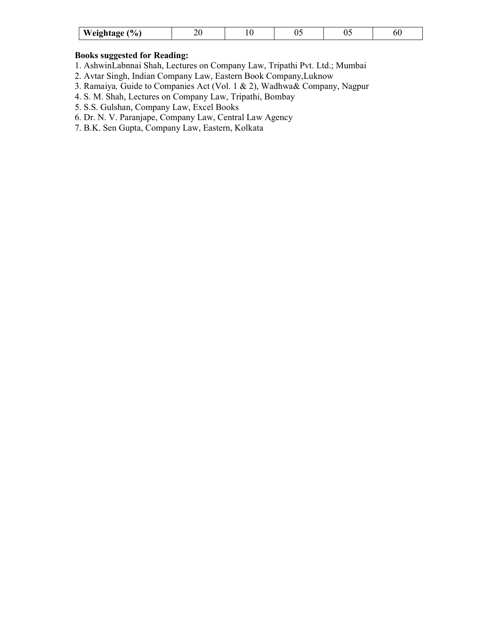| $-$<br>$\mathbf{O}_{\mathbf{A}}$<br><b>Weightsge</b> | -<br>___ | . | ν. | . |
|------------------------------------------------------|----------|---|----|---|

# Books suggested for Reading:

- 1. AshwinLabnnai Shah, Lectures on Company Law, Tripathi Pvt. Ltd.; Mumbai
- 2. Avtar Singh, Indian Company Law, Eastern Book Company,Luknow
- 3. Ramaiya, Guide to Companies Act (Vol. 1 & 2), Wadhwa& Company, Nagpur
- 4. S. M. Shah, Lectures on Company Law, Tripathi, Bombay
- 5. S.S. Gulshan, Company Law, Excel Books
- 6. Dr. N. V. Paranjape, Company Law, Central Law Agency
- 7. B.K. Sen Gupta, Company Law, Eastern, Kolkata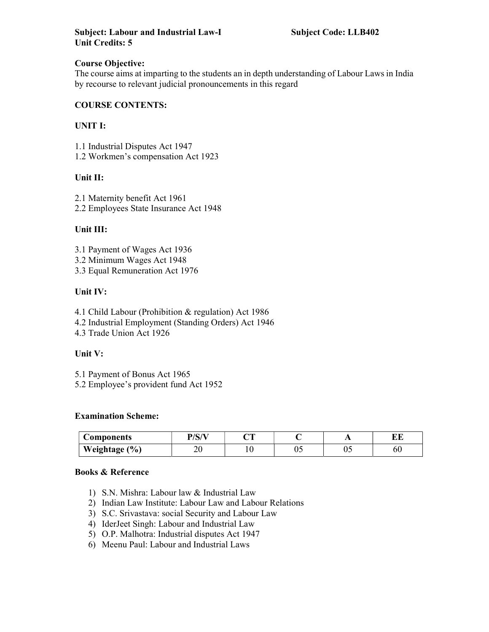# Course Objective:

The course aims at imparting to the students an in depth understanding of Labour Laws in India by recourse to relevant judicial pronouncements in this regard

# COURSE CONTENTS:

# UNIT I:

1.1 Industrial Disputes Act 1947 1.2 Workmen's compensation Act 1923

### Unit II:

2.1 Maternity benefit Act 1961 2.2 Employees State Insurance Act 1948

### Unit III:

- 3.1 Payment of Wages Act 1936
- 3.2 Minimum Wages Act 1948
- 3.3 Equal Remuneration Act 1976

### Unit IV:

- 4.1 Child Labour (Prohibition & regulation) Act 1986
- 4.2 Industrial Employment (Standing Orders) Act 1946
- 4.3 Trade Union Act 1926

# Unit V:

- 5.1 Payment of Bonus Act 1965
- 5.2 Employee's provident fund Act 1952

### Examination Scheme:

| Components             | $\mathbf{D}/\mathbf{C}/\mathbf{V}$ | $\sim$ |    | . . | <b>LA LA</b><br>பப |
|------------------------|------------------------------------|--------|----|-----|--------------------|
| Weightage $(\% )$<br>o | ∠∪                                 |        | ∪~ | υ.  | ou                 |

### Books & Reference

- 1) S.N. Mishra: Labour law & Industrial Law
- 2) Indian Law Institute: Labour Law and Labour Relations
- 3) S.C. Srivastava: social Security and Labour Law
- 4) IderJeet Singh: Labour and Industrial Law
- 5) O.P. Malhotra: Industrial disputes Act 1947
- 6) Meenu Paul: Labour and Industrial Laws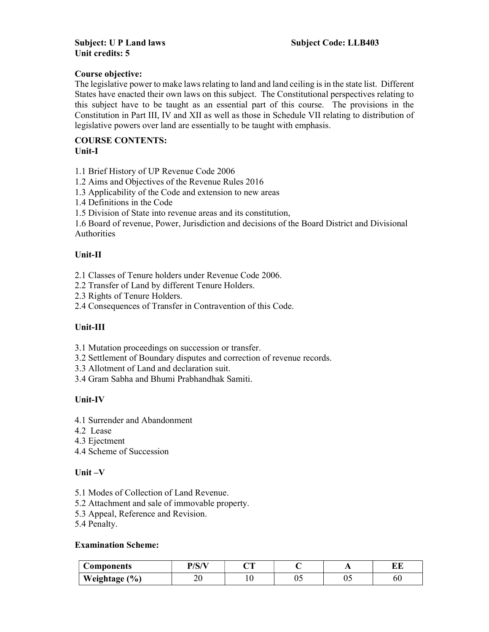# Subject: U P Land laws Subject Code: LLB403 Unit credits: 5

## Course objective:

The legislative power to make laws relating to land and land ceiling is in the state list. Different States have enacted their own laws on this subject. The Constitutional perspectives relating to this subject have to be taught as an essential part of this course. The provisions in the Constitution in Part III, IV and XII as well as those in Schedule VII relating to distribution of legislative powers over land are essentially to be taught with emphasis.

### COURSE CONTENTS: Unit-I

- 1.1 Brief History of UP Revenue Code 2006
- 1.2 Aims and Objectives of the Revenue Rules 2016
- 1.3 Applicability of the Code and extension to new areas
- 1.4 Definitions in the Code
- 1.5 Division of State into revenue areas and its constitution,

1.6 Board of revenue, Power, Jurisdiction and decisions of the Board District and Divisional Authorities

# Unit-II

2.1 Classes of Tenure holders under Revenue Code 2006.

- 2.2 Transfer of Land by different Tenure Holders.
- 2.3 Rights of Tenure Holders.
- 2.4 Consequences of Transfer in Contravention of this Code.

# Unit-III

3.1 Mutation proceedings on succession or transfer.

- 3.2 Settlement of Boundary disputes and correction of revenue records.
- 3.3 Allotment of Land and declaration suit.
- 3.4 Gram Sabha and Bhumi Prabhandhak Samiti.

# Unit-IV

- 4.1 Surrender and Abandonment
- 4.2 Lease
- 4.3 Ejectment
- 4.4 Scheme of Succession

# Unit –V

- 5.1 Modes of Collection of Land Revenue.
- 5.2 Attachment and sale of immovable property.
- 5.3 Appeal, Reference and Revision.
- 5.4 Penalty.

# Examination Scheme:

| Components    | D/C/VI | n m |    | . . | --<br>பப |
|---------------|--------|-----|----|-----|----------|
| Weightage (%) | ∠∪     |     | ◡◡ | υ.  | ou       |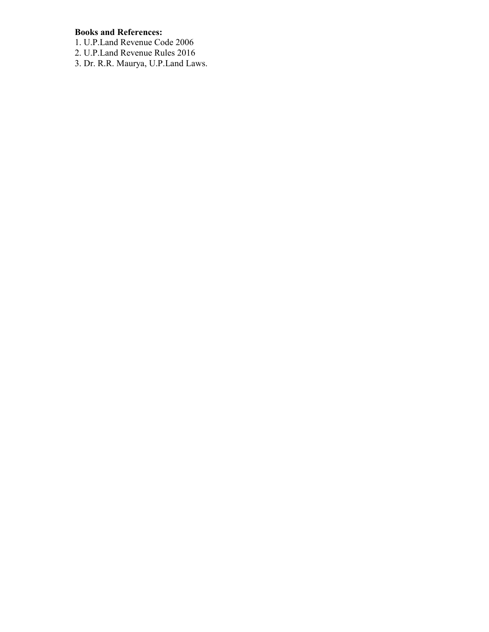# Books and References:

1. U.P.Land Revenue Code 2006

- 2. U.P.Land Revenue Rules 2016
- 3. Dr. R.R. Maurya, U.P.Land Laws.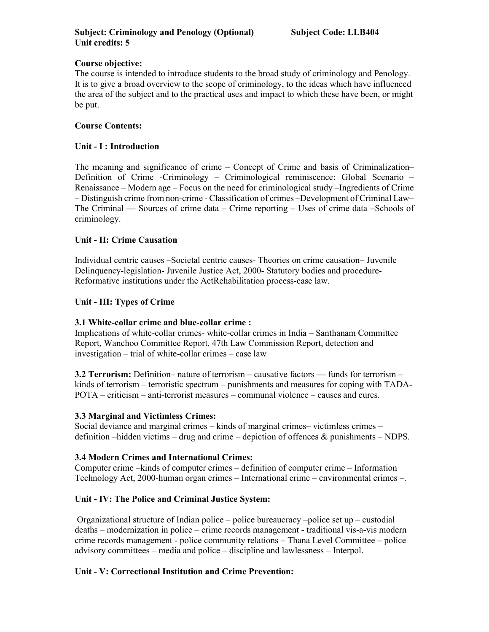# Course objective:

The course is intended to introduce students to the broad study of criminology and Penology. It is to give a broad overview to the scope of criminology, to the ideas which have influenced the area of the subject and to the practical uses and impact to which these have been, or might be put.

# Course Contents:

# Unit - I : Introduction

The meaning and significance of crime – Concept of Crime and basis of Criminalization– Definition of Crime -Criminology – Criminological reminiscence: Global Scenario – Renaissance – Modern age – Focus on the need for criminological study –Ingredients of Crime – Distinguish crime from non-crime - Classification of crimes –Development of Criminal Law– The Criminal –– Sources of crime data – Crime reporting – Uses of crime data –Schools of criminology.

# Unit - II: Crime Causation

Individual centric causes –Societal centric causes- Theories on crime causation– Juvenile Delinquency-legislation- Juvenile Justice Act, 2000- Statutory bodies and procedure-Reformative institutions under the ActRehabilitation process-case law.

# Unit - III: Types of Crime

# 3.1 White-collar crime and blue-collar crime :

Implications of white-collar crimes- white-collar crimes in India – Santhanam Committee Report, Wanchoo Committee Report, 47th Law Commission Report, detection and investigation – trial of white-collar crimes – case law

**3.2 Terrorism:** Definition– nature of terrorism – causative factors — funds for terrorism – kinds of terrorism – terroristic spectrum – punishments and measures for coping with TADA-POTA – criticism – anti-terrorist measures – communal violence – causes and cures.

# 3.3 Marginal and Victimless Crimes:

Social deviance and marginal crimes – kinds of marginal crimes– victimless crimes – definition –hidden victims – drug and crime – depiction of offences & punishments – NDPS.

# 3.4 Modern Crimes and International Crimes:

Computer crime –kinds of computer crimes – definition of computer crime – Information Technology Act, 2000-human organ crimes – International crime – environmental crimes –.

# Unit - IV: The Police and Criminal Justice System:

Organizational structure of Indian police – police bureaucracy –police set up – custodial deaths – modernization in police – crime records management - traditional vis-a-vis modern crime records management - police community relations – Thana Level Committee – police advisory committees – media and police – discipline and lawlessness – Interpol.

# Unit - V: Correctional Institution and Crime Prevention: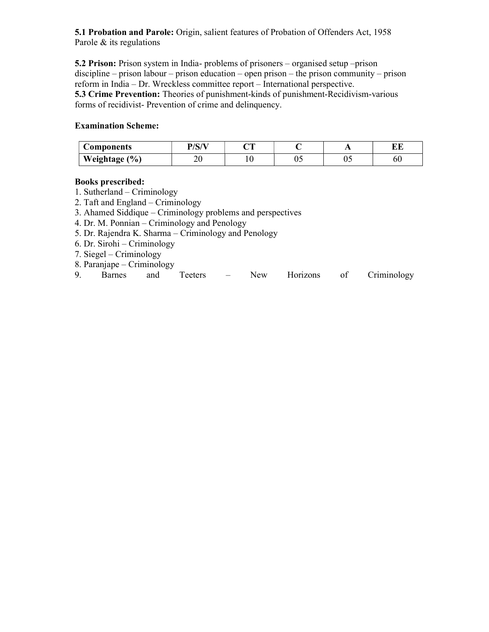5.1 Probation and Parole: Origin, salient features of Probation of Offenders Act, 1958 Parole & its regulations

5.2 Prison: Prison system in India- problems of prisoners – organised setup –prison discipline – prison labour – prison education – open prison – the prison community – prison reform in India – Dr. Wreckless committee report – International perspective. 5.3 Crime Prevention: Theories of punishment-kinds of punishment-Recidivism-various forms of recidivist- Prevention of crime and delinquency.

### Examination Scheme:

| Components                   | D/C/N    | n <del>n</del> |    | . . | m m<br>ĽШ |
|------------------------------|----------|----------------|----|-----|-----------|
| $\frac{(0)}{0}$<br>Weightage | n۵<br>∠∪ |                | v. | υ.  | υU        |

### Books prescribed:

- 1. Sutherland Criminology
- 2. Taft and England Criminology
- 3. Ahamed Siddique Criminology problems and perspectives

4. Dr. M. Ponnian – Criminology and Penology

- 5. Dr. Rajendra K. Sharma Criminology and Penology
- 6. Dr. Sirohi Criminology
- 7. Siegel Criminology
- 8. Paranjape Criminology

| y<br><u>.</u> | arnes<br>ระ | and | CCIL | $\overline{\phantom{a}}$ | $\sim$ T<br>new | Horizons | O1 | riminology<br><u>.</u> |
|---------------|-------------|-----|------|--------------------------|-----------------|----------|----|------------------------|
|---------------|-------------|-----|------|--------------------------|-----------------|----------|----|------------------------|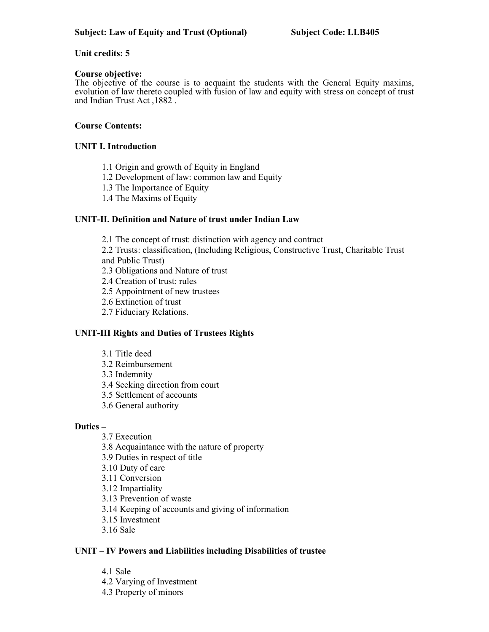### Unit credits: 5

#### Course objective:

The objective of the course is to acquaint the students with the General Equity maxims, evolution of law thereto coupled with fusion of law and equity with stress on concept of trust and Indian Trust Act ,1882 .

### Course Contents:

### UNIT I. Introduction

- 1.1 Origin and growth of Equity in England
- 1.2 Development of law: common law and Equity
- 1.3 The Importance of Equity
- 1.4 The Maxims of Equity

### UNIT-II. Definition and Nature of trust under Indian Law

- 2.1 The concept of trust: distinction with agency and contract
- 2.2 Trusts: classification, (Including Religious, Constructive Trust, Charitable Trust
- and Public Trust)
- 2.3 Obligations and Nature of trust
- 2.4 Creation of trust: rules
- 2.5 Appointment of new trustees
- 2.6 Extinction of trust
- 2.7 Fiduciary Relations.

# UNIT-III Rights and Duties of Trustees Rights

- 3.1 Title deed
- 3.2 Reimbursement
- 3.3 Indemnity
- 3.4 Seeking direction from court
- 3.5 Settlement of accounts
- 3.6 General authority

### Duties –

- 3.7 Execution
- 3.8 Acquaintance with the nature of property
- 3.9 Duties in respect of title
- 3.10 Duty of care
- 3.11 Conversion
- 3.12 Impartiality
- 3.13 Prevention of waste
- 3.14 Keeping of accounts and giving of information
- 3.15 Investment
- 3.16 Sale

### UNIT – IV Powers and Liabilities including Disabilities of trustee

- 4.1 Sale
- 4.2 Varying of Investment
- 4.3 Property of minors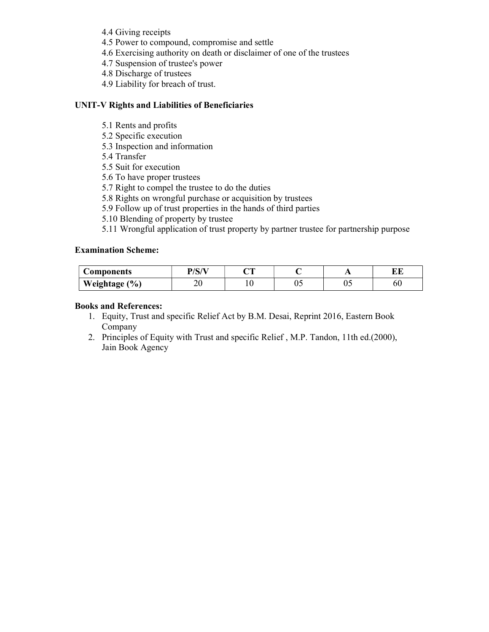- 4.4 Giving receipts
- 4.5 Power to compound, compromise and settle
- 4.6 Exercising authority on death or disclaimer of one of the trustees
- 4.7 Suspension of trustee's power
- 4.8 Discharge of trustees
- 4.9 Liability for breach of trust.

### UNIT-V Rights and Liabilities of Beneficiaries

- 5.1 Rents and profits
- 5.2 Specific execution
- 5.3 Inspection and information
- 5.4 Transfer
- 5.5 Suit for execution
- 5.6 To have proper trustees
- 5.7 Right to compel the trustee to do the duties
- 5.8 Rights on wrongful purchase or acquisition by trustees
- 5.9 Follow up of trust properties in the hands of third parties
- 5.10 Blending of property by trustee
- 5.11 Wrongful application of trust property by partner trustee for partnership purpose

### Examination Scheme:

| Components         | D/C/V | n m<br>້ | . . | <b>TIT</b><br>שנש |
|--------------------|-------|----------|-----|-------------------|
| (9/0)<br>Weightage | ∠∪    |          | ∪.  | ou                |

#### Books and References:

- 1. Equity, Trust and specific Relief Act by B.M. Desai, Reprint 2016, Eastern Book Company
- 2. Principles of Equity with Trust and specific Relief , M.P. Tandon, 11th ed.(2000), Jain Book Agency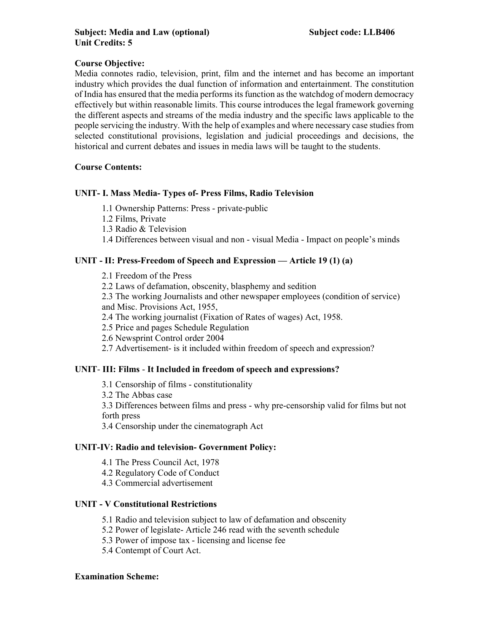# Course Objective:

Media connotes radio, television, print, film and the internet and has become an important industry which provides the dual function of information and entertainment. The constitution of India has ensured that the media performs its function as the watchdog of modern democracy effectively but within reasonable limits. This course introduces the legal framework governing the different aspects and streams of the media industry and the specific laws applicable to the people servicing the industry. With the help of examples and where necessary case studies from selected constitutional provisions, legislation and judicial proceedings and decisions, the historical and current debates and issues in media laws will be taught to the students.

# Course Contents:

# UNIT- I. Mass Media- Types of- Press Films, Radio Television

- 1.1 Ownership Patterns: Press private-public
- 1.2 Films, Private
- 1.3 Radio & Television
- 1.4 Differences between visual and non visual Media Impact on people's minds

# UNIT - II: Press-Freedom of Speech and Expression — Article 19 (1) (a)

2.1 Freedom of the Press

- 2.2 Laws of defamation, obscenity, blasphemy and sedition
- 2.3 The working Journalists and other newspaper employees (condition of service) and Misc. Provisions Act, 1955,
- 2.4 The working journalist (Fixation of Rates of wages) Act, 1958.
- 2.5 Price and pages Schedule Regulation
- 2.6 Newsprint Control order 2004
- 2.7 Advertisement- is it included within freedom of speech and expression?

### UNIT- III: Films - It Included in freedom of speech and expressions?

- 3.1 Censorship of films constitutionality
- 3.2 The Abbas case
- 3.3 Differences between films and press why pre-censorship valid for films but not forth press
- 3.4 Censorship under the cinematograph Act

### UNIT-IV: Radio and television- Government Policy:

- 4.1 The Press Council Act, 1978
- 4.2 Regulatory Code of Conduct
- 4.3 Commercial advertisement

# UNIT - V Constitutional Restrictions

- 5.1 Radio and television subject to law of defamation and obscenity
- 5.2 Power of legislate- Article 246 read with the seventh schedule
- 5.3 Power of impose tax licensing and license fee
- 5.4 Contempt of Court Act.

### Examination Scheme: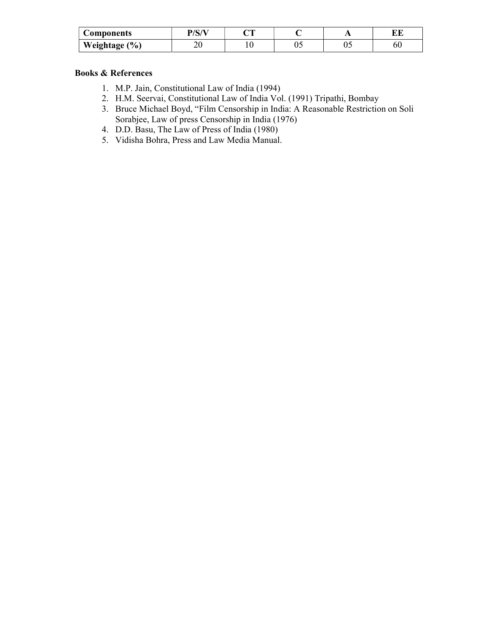| <b>Components</b> | D/C/VI | $\sim$ |    |    | ப  |
|-------------------|--------|--------|----|----|----|
| Weightage (%)     | ∠∪     |        | v. | υ. | bU |

### Books & References

- 1. M.P. Jain, Constitutional Law of India (1994)
- 2. H.M. Seervai, Constitutional Law of India Vol. (1991) Tripathi, Bombay
- 3. Bruce Michael Boyd, "Film Censorship in India: A Reasonable Restriction on Soli Sorabjee, Law of press Censorship in India (1976)
- 4. D.D. Basu, The Law of Press of India (1980)
- 5. Vidisha Bohra, Press and Law Media Manual.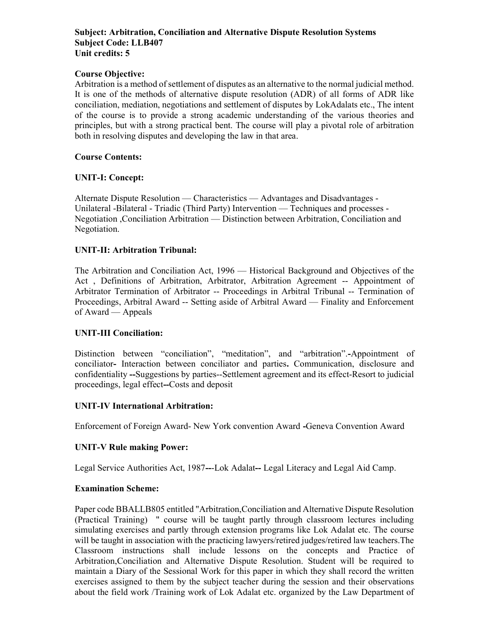### Subject: Arbitration, Conciliation and Alternative Dispute Resolution Systems Subject Code: LLB407 Unit credits: 5

### Course Objective:

Arbitration is a method of settlement of disputes as an alternative to the normal judicial method. It is one of the methods of alternative dispute resolution (ADR) of all forms of ADR like conciliation, mediation, negotiations and settlement of disputes by LokAdalats etc., The intent of the course is to provide a strong academic understanding of the various theories and principles, but with a strong practical bent. The course will play a pivotal role of arbitration both in resolving disputes and developing the law in that area.

### Course Contents:

# UNIT-I: Concept:

Alternate Dispute Resolution — Characteristics — Advantages and Disadvantages - Unilateral -Bilateral - Triadic (Third Party) Intervention — Techniques and processes - Negotiation ,Conciliation Arbitration — Distinction between Arbitration, Conciliation and Negotiation.

### UNIT-II: Arbitration Tribunal:

The Arbitration and Conciliation Act, 1996 — Historical Background and Objectives of the Act , Definitions of Arbitration, Arbitrator, Arbitration Agreement -- Appointment of Arbitrator Termination of Arbitrator -- Proceedings in Arbitral Tribunal -- Termination of Proceedings, Arbitral Award -- Setting aside of Arbitral Award — Finality and Enforcement of Award — Appeals

# UNIT-III Conciliation:

Distinction between "conciliation", "meditation", and "arbitration".-Appointment of conciliator- Interaction between conciliator and parties. Communication, disclosure and confidentiality --Suggestions by parties--Settlement agreement and its effect-Resort to judicial proceedings, legal effect--Costs and deposit

### UNIT-IV International Arbitration:

Enforcement of Foreign Award- New York convention Award -Geneva Convention Award

### UNIT-V Rule making Power:

Legal Service Authorities Act, 1987---Lok Adalat-- Legal Literacy and Legal Aid Camp.

### Examination Scheme:

Paper code BBALLB805 entitled "Arbitration,Conciliation and Alternative Dispute Resolution (Practical Training) " course will be taught partly through classroom lectures including simulating exercises and partly through extension programs like Lok Adalat etc. The course will be taught in association with the practicing lawyers/retired judges/retired law teachers.The Classroom instructions shall include lessons on the concepts and Practice of Arbitration,Conciliation and Alternative Dispute Resolution. Student will be required to maintain a Diary of the Sessional Work for this paper in which they shall record the written exercises assigned to them by the subject teacher during the session and their observations about the field work /Training work of Lok Adalat etc. organized by the Law Department of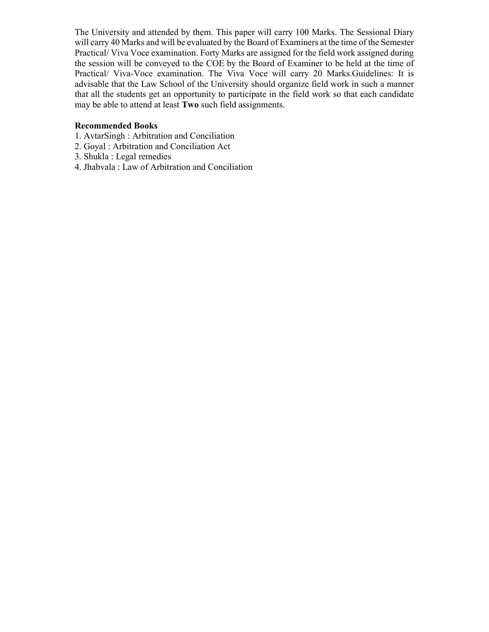The University and attended by them. This paper will carry 100 Marks. The Sessional Diary will carry 40 Marks and will be evaluated by the Board of Examiners at the time of the Semester Practical/ Viva Voce examination. Forty Marks are assigned for the field work assigned during the session will be conveyed to the COE by the Board of Examiner to be held at the time of Practical/ Viva-Voce examination. The Viva Voce will carry 20 Marks.Guidelines: It is advisable that the Law School of the University should organize field work in such a manner that all the students get an opportunity to participate in the field work so that each candidate may be able to attend at least Two such field assignments.

### Recommended Books

- 1. AvtarSingh : Arbitration and Conciliation
- 2. Goyal : Arbitration and Conciliation Act
- 3. Shukla : Legal remedies
- 4. Jhabvala : Law of Arbitration and Conciliation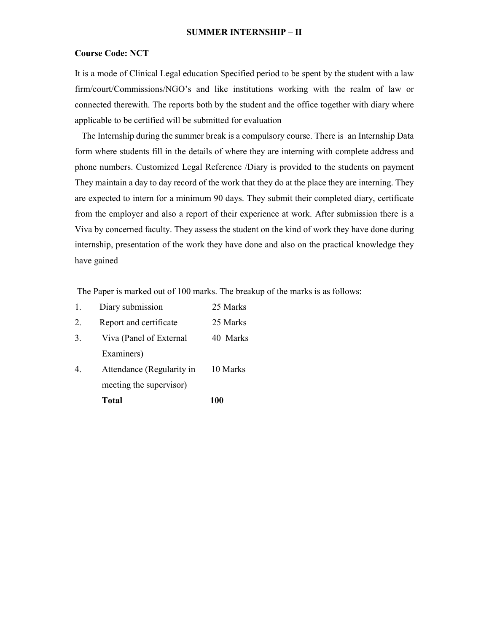#### SUMMER INTERNSHIP – II

#### Course Code: NCT

It is a mode of Clinical Legal education Specified period to be spent by the student with a law firm/court/Commissions/NGO's and like institutions working with the realm of law or connected therewith. The reports both by the student and the office together with diary where applicable to be certified will be submitted for evaluation

 The Internship during the summer break is a compulsory course. There is an Internship Data form where students fill in the details of where they are interning with complete address and phone numbers. Customized Legal Reference /Diary is provided to the students on payment They maintain a day to day record of the work that they do at the place they are interning. They are expected to intern for a minimum 90 days. They submit their completed diary, certificate from the employer and also a report of their experience at work. After submission there is a Viva by concerned faculty. They assess the student on the kind of work they have done during internship, presentation of the work they have done and also on the practical knowledge they have gained

The Paper is marked out of 100 marks. The breakup of the marks is as follows:

|                  | <b>Total</b>              | <b>100</b> |
|------------------|---------------------------|------------|
|                  | meeting the supervisor)   |            |
| $\overline{4}$ . | Attendance (Regularity in | 10 Marks   |
|                  | Examiners)                |            |
| 3.               | Viva (Panel of External   | 40 Marks   |
| 2.               | Report and certificate    | 25 Marks   |
| 1.               | Diary submission          | 25 Marks   |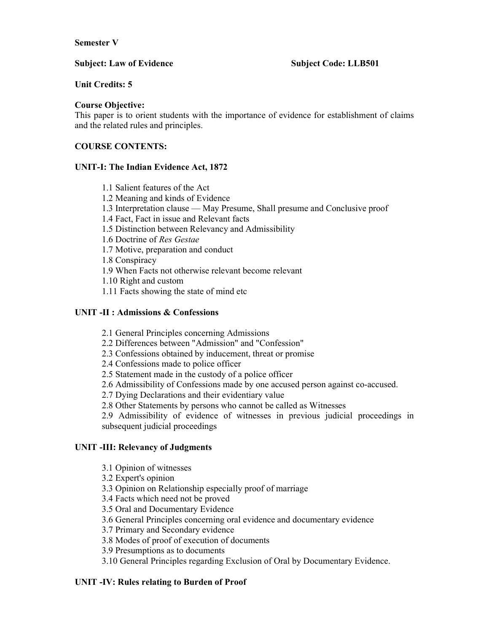### Semester V

# Subject: Law of Evidence Subject Code: LLB501

Unit Credits: 5

### Course Objective:

This paper is to orient students with the importance of evidence for establishment of claims and the related rules and principles.

# COURSE CONTENTS:

# UNIT-I: The Indian Evidence Act, 1872

- 1.1 Salient features of the Act
- 1.2 Meaning and kinds of Evidence
- 1.3 Interpretation clause May Presume, Shall presume and Conclusive proof
- 1.4 Fact, Fact in issue and Relevant facts
- 1.5 Distinction between Relevancy and Admissibility
- 1.6 Doctrine of Res Gestae
- 1.7 Motive, preparation and conduct

1.8 Conspiracy

- 1.9 When Facts not otherwise relevant become relevant
- 1.10 Right and custom
- 1.11 Facts showing the state of mind etc

# UNIT -II : Admissions & Confessions

- 2.1 General Principles concerning Admissions
- 2.2 Differences between "Admission" and "Confession"
- 2.3 Confessions obtained by inducement, threat or promise
- 2.4 Confessions made to police officer
- 2.5 Statement made in the custody of a police officer
- 2.6 Admissibility of Confessions made by one accused person against co-accused.
- 2.7 Dying Declarations and their evidentiary value
- 2.8 Other Statements by persons who cannot be called as Witnesses

2.9 Admissibility of evidence of witnesses in previous judicial proceedings in subsequent judicial proceedings

# UNIT -III: Relevancy of Judgments

- 3.1 Opinion of witnesses
- 3.2 Expert's opinion
- 3.3 Opinion on Relationship especially proof of marriage
- 3.4 Facts which need not be proved
- 3.5 Oral and Documentary Evidence
- 3.6 General Principles concerning oral evidence and documentary evidence
- 3.7 Primary and Secondary evidence
- 3.8 Modes of proof of execution of documents
- 3.9 Presumptions as to documents
- 3.10 General Principles regarding Exclusion of Oral by Documentary Evidence.

# UNIT -IV: Rules relating to Burden of Proof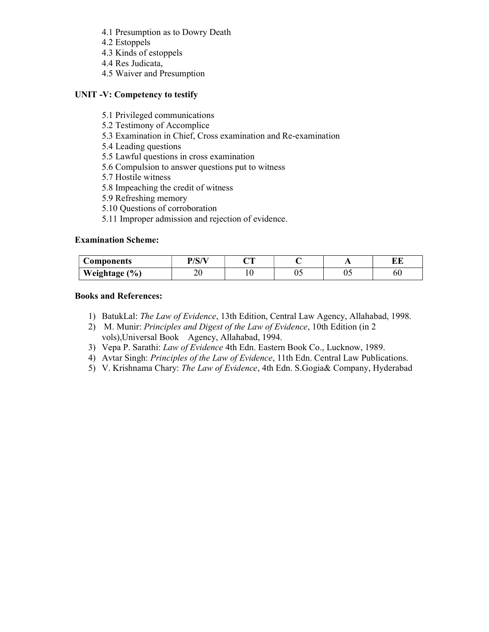- 4.1 Presumption as to Dowry Death
- 4.2 Estoppels
- 4.3 Kinds of estoppels
- 4.4 Res Judicata,
- 4.5 Waiver and Presumption

### UNIT -V: Competency to testify

- 5.1 Privileged communications
- 5.2 Testimony of Accomplice
- 5.3 Examination in Chief, Cross examination and Re-examination
- 5.4 Leading questions
- 5.5 Lawful questions in cross examination
- 5.6 Compulsion to answer questions put to witness
- 5.7 Hostile witness
- 5.8 Impeaching the credit of witness
- 5.9 Refreshing memory
- 5.10 Questions of corroboration
- 5.11 Improper admission and rejection of evidence.

### Examination Scheme:

| Components    | $\mathbf{D}/\mathbf{C}/\mathbf{V}$ | ~~ |    | . . | --<br>ш |
|---------------|------------------------------------|----|----|-----|---------|
| Weightage (%) | ∠∪                                 |    | ∪~ | υ.  | ou      |

### Books and References:

- 1) BatukLal: The Law of Evidence, 13th Edition, Central Law Agency, Allahabad, 1998.
- 2) M. Munir: *Principles and Digest of the Law of Evidence*, 10th Edition (in 2) vols),Universal Book Agency, Allahabad, 1994.
- 3) Vepa P. Sarathi: Law of Evidence 4th Edn. Eastern Book Co., Lucknow, 1989.
- 4) Avtar Singh: *Principles of the Law of Evidence*, 11th Edn. Central Law Publications.
- 5) V. Krishnama Chary: The Law of Evidence, 4th Edn. S. Gogia & Company, Hyderabad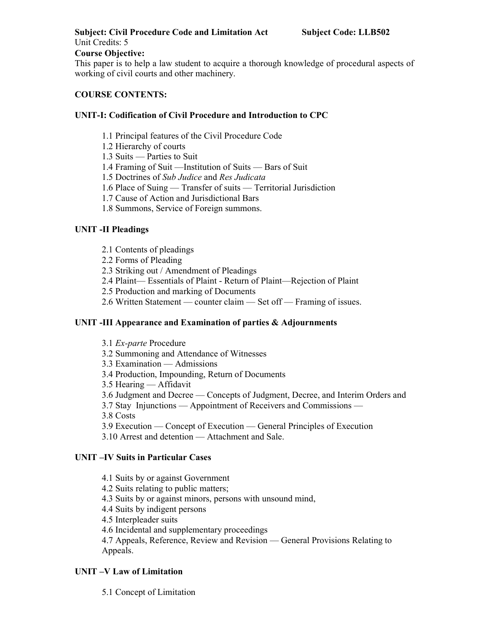#### Subject: Civil Procedure Code and Limitation Act Subject Code: LLB502 Unit Credits: 5

### Course Objective:

This paper is to help a law student to acquire a thorough knowledge of procedural aspects of working of civil courts and other machinery.

### COURSE CONTENTS:

### UNIT-I: Codification of Civil Procedure and Introduction to CPC

- 1.1 Principal features of the Civil Procedure Code
- 1.2 Hierarchy of courts
- 1.3 Suits Parties to Suit
- 1.4 Framing of Suit —Institution of Suits Bars of Suit
- 1.5 Doctrines of Sub Judice and Res Judicata
- 1.6 Place of Suing Transfer of suits Territorial Jurisdiction
- 1.7 Cause of Action and Jurisdictional Bars
- 1.8 Summons, Service of Foreign summons.

# UNIT -II Pleadings

- 2.1 Contents of pleadings
- 2.2 Forms of Pleading
- 2.3 Striking out / Amendment of Pleadings
- 2.4 Plaint— Essentials of Plaint Return of Plaint—Rejection of Plaint
- 2.5 Production and marking of Documents
- 2.6 Written Statement counter claim Set off Framing of issues.

# UNIT -III Appearance and Examination of parties & Adjournments

- 3.1 Ex-parte Procedure
- 3.2 Summoning and Attendance of Witnesses
- 3.3 Examination Admissions
- 3.4 Production, Impounding, Return of Documents
- 3.5 Hearing Affidavit
- 3.6 Judgment and Decree Concepts of Judgment, Decree, and Interim Orders and
- 3.7 Stay Injunctions Appointment of Receivers and Commissions —
- 3.8 Costs
- 3.9 Execution Concept of Execution General Principles of Execution
- 3.10 Arrest and detention Attachment and Sale.

# UNIT –IV Suits in Particular Cases

- 4.1 Suits by or against Government
- 4.2 Suits relating to public matters;
- 4.3 Suits by or against minors, persons with unsound mind,
- 4.4 Suits by indigent persons
- 4.5 Interpleader suits
- 4.6 Incidental and supplementary proceedings
- 4.7 Appeals, Reference, Review and Revision General Provisions Relating to Appeals.

# UNIT –V Law of Limitation

5.1 Concept of Limitation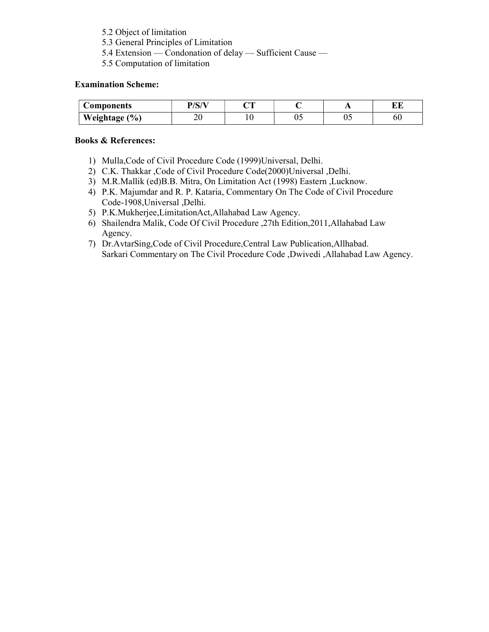- 5.2 Object of limitation
- 5.3 General Principles of Limitation
- 5.4 Extension Condonation of delay Sufficient Cause —
- 5.5 Computation of limitation

### Examination Scheme:

| Components    | D/C/L | $\sim$ |    | . . | IN IT<br>ĽШ |
|---------------|-------|--------|----|-----|-------------|
| Weightage (%) | ∠∪    |        | ∪~ | υ.  | ou          |

### Books & References:

- 1) Mulla,Code of Civil Procedure Code (1999)Universal, Delhi.
- 2) C.K. Thakkar ,Code of Civil Procedure Code(2000)Universal ,Delhi.
- 3) M.R.Mallik (ed)B.B. Mitra, On Limitation Act (1998) Eastern ,Lucknow.
- 4) P.K. Majumdar and R. P. Kataria, Commentary On The Code of Civil Procedure Code-1908,Universal ,Delhi.
- 5) P.K.Mukherjee,LimitationAct,Allahabad Law Agency.
- 6) Shailendra Malik, Code Of Civil Procedure ,27th Edition,2011,Allahabad Law Agency.
- 7) Dr.AvtarSing,Code of Civil Procedure,Central Law Publication,Allhabad. Sarkari Commentary on The Civil Procedure Code ,Dwivedi ,Allahabad Law Agency.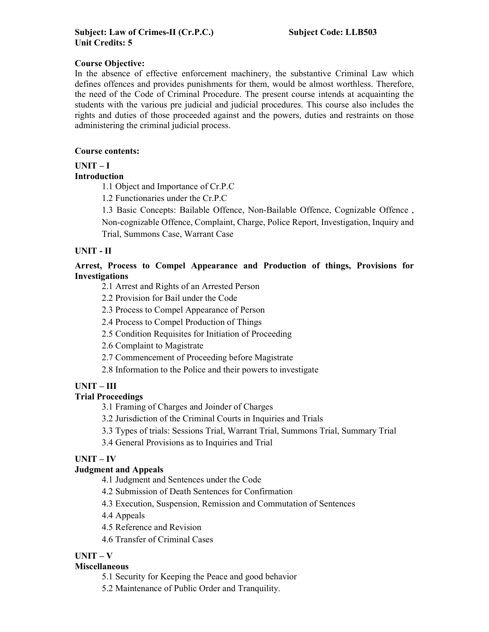# Course Objective:

In the absence of effective enforcement machinery, the substantive Criminal Law which defines offences and provides punishments for them, would be almost worthless. Therefore, the need of the Code of Criminal Procedure. The present course intends at acquainting the students with the various pre judicial and judicial procedures. This course also includes the rights and duties of those proceeded against and the powers, duties and restraints on those administering the criminal judicial process.

### Course contents:

# UNIT – I

# Introduction

1.1 Object and Importance of Cr.P.C

1.2 Functionaries under the Cr.P.C

1.3 Basic Concepts: Bailable Offence, Non-Bailable Offence, Cognizable Offence , Non-cognizable Offence, Complaint, Charge, Police Report, Investigation, Inquiry and Trial, Summons Case, Warrant Case

# UNIT - II

Arrest, Process to Compel Appearance and Production of things, Provisions for Investigations

2.1 Arrest and Rights of an Arrested Person

2.2 Provision for Bail under the Code

2.3 Process to Compel Appearance of Person

2.4 Process to Compel Production of Things

2.5 Condition Requisites for Initiation of Proceeding

2.6 Complaint to Magistrate

2.7 Commencement of Proceeding before Magistrate

2.8 Information to the Police and their powers to investigate

# UNIT – III

# Trial Proceedings

3.1 Framing of Charges and Joinder of Charges

3.2 Jurisdiction of the Criminal Courts in Inquiries and Trials

3.3 Types of trials: Sessions Trial, Warrant Trial, Summons Trial, Summary Trial

3.4 General Provisions as to Inquiries and Trial

# UNIT – IV

# Judgment and Appeals

4.1 Judgment and Sentences under the Code

4.2 Submission of Death Sentences for Confirmation

4.3 Execution, Suspension, Remission and Commutation of Sentences

- 4.4 Appeals
- 4.5 Reference and Revision
- 4.6 Transfer of Criminal Cases

# UNIT – V

# **Miscellaneous**

5.1 Security for Keeping the Peace and good behavior

5.2 Maintenance of Public Order and Tranquility.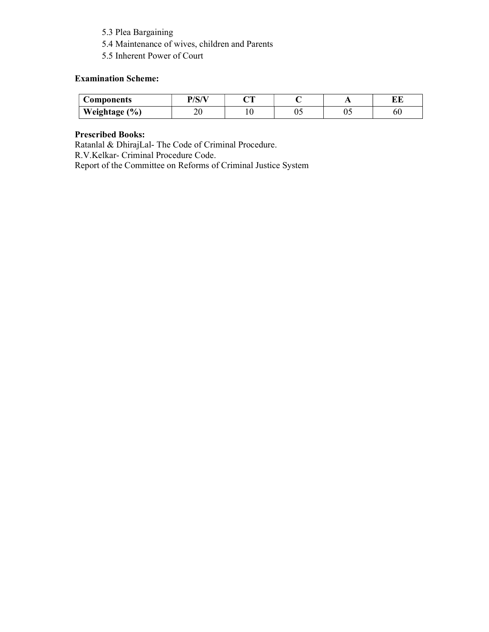# 5.3 Plea Bargaining

- 5.4 Maintenance of wives, children and Parents
- 5.5 Inherent Power of Court

### Examination Scheme:

| Components    | D /C /T<br>וכו ' | חר |    |                         | שפ |
|---------------|------------------|----|----|-------------------------|----|
| Weightage (%) | ∠∪               |    | ∪~ | $\mathbf{\Omega}$<br>U. | vo |

# Prescribed Books:

Ratanlal & DhirajLal- The Code of Criminal Procedure. R.V.Kelkar- Criminal Procedure Code.

Report of the Committee on Reforms of Criminal Justice System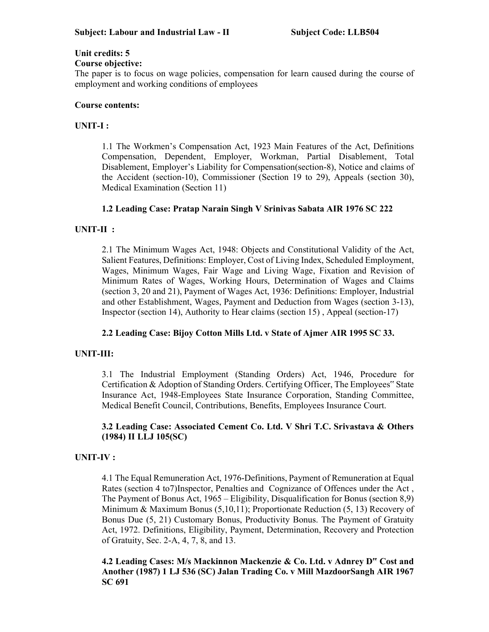# Unit credits: 5

### Course objective:

The paper is to focus on wage policies, compensation for learn caused during the course of employment and working conditions of employees

### Course contents:

# UNIT-I :

1.1 The Workmen's Compensation Act, 1923 Main Features of the Act, Definitions Compensation, Dependent, Employer, Workman, Partial Disablement, Total Disablement, Employer's Liability for Compensation(section-8), Notice and claims of the Accident (section-10), Commissioner (Section 19 to 29), Appeals (section 30), Medical Examination (Section 11)

# 1.2 Leading Case: Pratap Narain Singh V Srinivas Sabata AIR 1976 SC 222

# UNIT-II :

2.1 The Minimum Wages Act, 1948: Objects and Constitutional Validity of the Act, Salient Features, Definitions: Employer, Cost of Living Index, Scheduled Employment, Wages, Minimum Wages, Fair Wage and Living Wage, Fixation and Revision of Minimum Rates of Wages, Working Hours, Determination of Wages and Claims (section 3, 20 and 21), Payment of Wages Act, 1936: Definitions: Employer, Industrial and other Establishment, Wages, Payment and Deduction from Wages (section 3-13), Inspector (section 14), Authority to Hear claims (section 15) , Appeal (section-17)

# 2.2 Leading Case: Bijoy Cotton Mills Ltd. v State of Ajmer AIR 1995 SC 33.

# UNIT-III:

3.1 The Industrial Employment (Standing Orders) Act, 1946, Procedure for Certification & Adoption of Standing Orders. Certifying Officer, The Employees" State Insurance Act, 1948-Employees State Insurance Corporation, Standing Committee, Medical Benefit Council, Contributions, Benefits, Employees Insurance Court.

# 3.2 Leading Case: Associated Cement Co. Ltd. V Shri T.C. Srivastava & Others (1984) II LLJ 105(SC)

# UNIT-IV :

4.1 The Equal Remuneration Act, 1976-Definitions, Payment of Remuneration at Equal Rates (section 4 to7)Inspector, Penalties and Cognizance of Offences under the Act , The Payment of Bonus Act, 1965 – Eligibility, Disqualification for Bonus (section 8,9) Minimum & Maximum Bonus (5,10,11); Proportionate Reduction (5, 13) Recovery of Bonus Due (5, 21) Customary Bonus, Productivity Bonus. The Payment of Gratuity Act, 1972. Definitions, Eligibility, Payment, Determination, Recovery and Protection of Gratuity, Sec. 2-A, 4, 7, 8, and 13.

4.2 Leading Cases: M/s Mackinnon Mackenzie & Co. Ltd. v Adnrey D" Cost and Another (1987) 1 LJ 536 (SC) Jalan Trading Co. v Mill MazdoorSangh AIR 1967 SC 691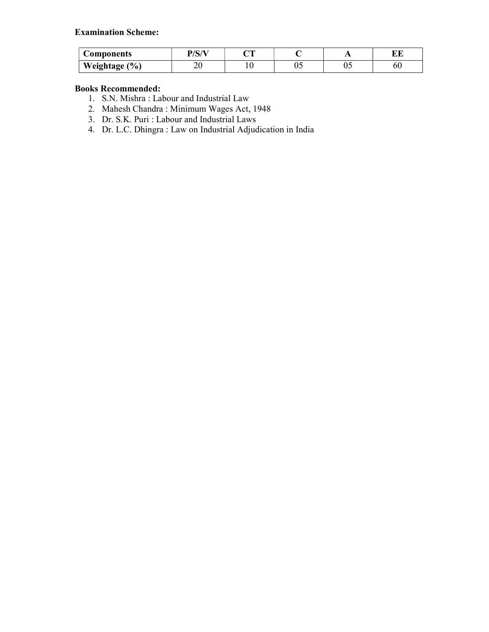# Examination Scheme:

| Components         | D/C/VI<br>◡ | $\sim$<br>້ |    | . . | <b>TIT</b> |
|--------------------|-------------|-------------|----|-----|------------|
| (9/0)<br>Weightage | ∠∪          |             | v. | υ.  | 6U         |

# Books Recommended:

- 1. S.N. Mishra : Labour and Industrial Law
- 2. Mahesh Chandra : Minimum Wages Act, 1948
- 3. Dr. S.K. Puri : Labour and Industrial Laws
- 4. Dr. L.C. Dhingra : Law on Industrial Adjudication in India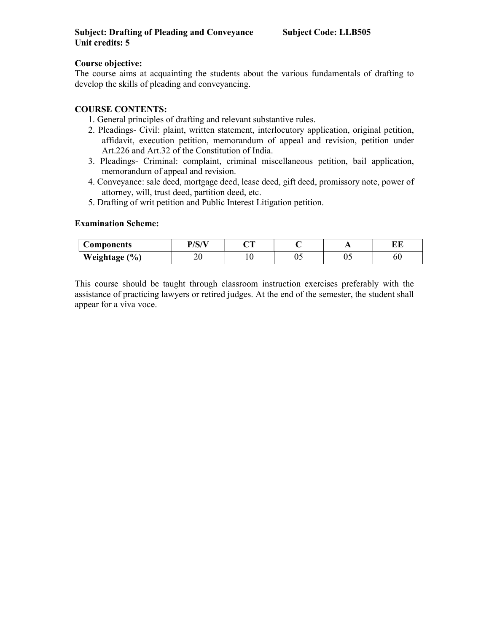### Course objective:

The course aims at acquainting the students about the various fundamentals of drafting to develop the skills of pleading and conveyancing.

### COURSE CONTENTS:

- 1. General principles of drafting and relevant substantive rules.
- 2. Pleadings- Civil: plaint, written statement, interlocutory application, original petition, affidavit, execution petition, memorandum of appeal and revision, petition under Art.226 and Art.32 of the Constitution of India.
- 3. Pleadings- Criminal: complaint, criminal miscellaneous petition, bail application, memorandum of appeal and revision.
- 4. Conveyance: sale deed, mortgage deed, lease deed, gift deed, promissory note, power of attorney, will, trust deed, partition deed, etc.
- 5. Drafting of writ petition and Public Interest Litigation petition.

### Examination Scheme:

| Components    | D/C/V     | n m |    | . . | <b>TIT</b><br>பப |
|---------------|-----------|-----|----|-----|------------------|
| Weightage (%) | n c<br>∠∪ |     | ◡◡ | υ.  | ou               |

This course should be taught through classroom instruction exercises preferably with the assistance of practicing lawyers or retired judges. At the end of the semester, the student shall appear for a viva voce.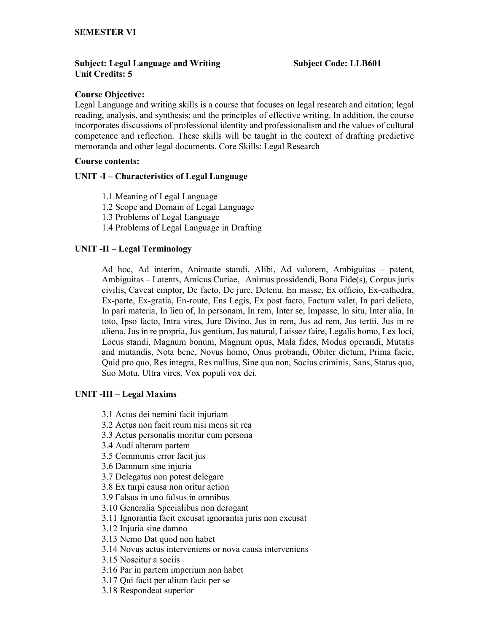### Subject: Legal Language and Writing Subject Code: LLB601 Unit Credits: 5

### Course Objective:

Legal Language and writing skills is a course that focuses on legal research and citation; legal reading, analysis, and synthesis; and the principles of effective writing. In addition, the course incorporates discussions of professional identity and professionalism and the values of cultural competence and reflection. These skills will be taught in the context of drafting predictive memoranda and other legal documents. Core Skills: Legal Research

### Course contents:

### UNIT -I – Characteristics of Legal Language

- 1.1 Meaning of Legal Language
- 1.2 Scope and Domain of Legal Language
- 1.3 Problems of Legal Language
- 1.4 Problems of Legal Language in Drafting

# UNIT -II – Legal Terminology

Ad hoc, Ad interim, Animatte standi, Alibi, Ad valorem, Ambiguitas – patent, Ambiguitas – Latents, Amicus Curiae, Animus possidendi, Bona Fide(s), Corpus juris civilis, Caveat emptor, De facto, De jure, Detenu, En masse, Ex officio, Ex-cathedra, Ex-parte, Ex-gratia, En-route, Ens Legis, Ex post facto, Factum valet, In pari delicto, In pari materia, In lieu of, In personam, In rem, Inter se, Impasse, In situ, Inter alia, In toto, Ipso facto, Intra vires, Jure Divino, Jus in rem, Jus ad rem, Jus tertii, Jus in re aliena, Jus in re propria, Jus gentium, Jus natural, Laissez faire, Legalis homo, Lex loci, Locus standi, Magnum bonum, Magnum opus, Mala fides, Modus operandi, Mutatis and mutandis, Nota bene, Novus homo, Onus probandi, Obiter dictum, Prima facie, Quid pro quo, Res integra, Res nullius, Sine qua non, Socius criminis, Sans, Status quo, Suo Motu, Ultra vires, Vox populi vox dei.

# UNIT -III – Legal Maxims

- 3.1 Actus dei nemini facit injuriam
- 3.2 Actus non facit reum nisi mens sit rea
- 3.3 Actus personalis moritur cum persona
- 3.4 Audi alteram partem
- 3.5 Communis error facit jus
- 3.6 Damnum sine injuria
- 3.7 Delegatus non potest delegare
- 3.8 Ex turpi causa non oritur action
- 3.9 Falsus in uno falsus in omnibus
- 3.10 Generalia Specialibus non derogant
- 3.11 Ignorantia facit excusat ignorantia juris non excusat
- 3.12 Injuria sine damno
- 3.13 Nemo Dat quod non habet
- 3.14 Novus actus interveniens or nova causa interveniens
- 3.15 Noscitur a sociis
- 3.16 Par in partem imperium non habet
- 3.17 Qui facit per alium facit per se
- 3.18 Respondeat superior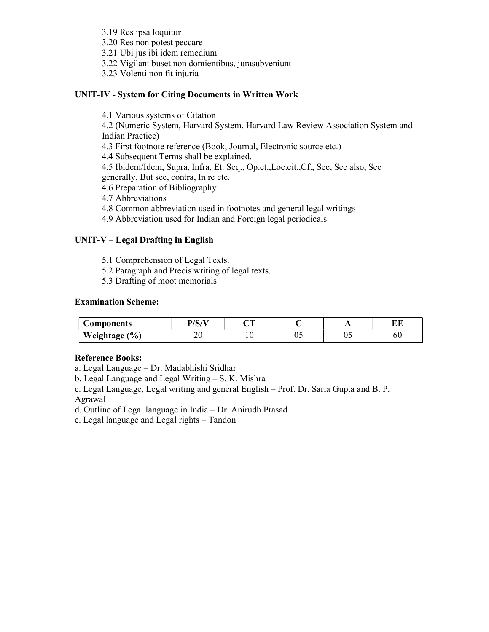3.19 Res ipsa loquitur

3.20 Res non potest peccare

3.21 Ubi jus ibi idem remedium

3.22 Vigilant buset non domientibus, jurasubveniunt

3.23 Volenti non fit injuria

# UNIT-IV - System for Citing Documents in Written Work

4.1 Various systems of Citation

4.2 (Numeric System, Harvard System, Harvard Law Review Association System and Indian Practice)

4.3 First footnote reference (Book, Journal, Electronic source etc.)

4.4 Subsequent Terms shall be explained.

4.5 Ibidem/Idem, Supra, Infra, Et. Seq., Op.ct.,Loc.cit.,Cf., See, See also, See generally, But see, contra, In re etc.

- 4.6 Preparation of Bibliography
- 4.7 Abbreviations
- 4.8 Common abbreviation used in footnotes and general legal writings
- 4.9 Abbreviation used for Indian and Foreign legal periodicals

# UNIT-V – Legal Drafting in English

5.1 Comprehension of Legal Texts.

- 5.2 Paragraph and Precis writing of legal texts.
- 5.3 Drafting of moot memorials

### Examination Scheme:

| Components    | D/C/V | $\sim$ |    | . . | ĽШ |
|---------------|-------|--------|----|-----|----|
| Weightage (%) | ∠∪    |        | ∪~ | υ.  | ov |

### Reference Books:

a. Legal Language – Dr. Madabhishi Sridhar

b. Legal Language and Legal Writing – S. K. Mishra

c. Legal Language, Legal writing and general English – Prof. Dr. Saria Gupta and B. P. Agrawal

d. Outline of Legal language in India – Dr. Anirudh Prasad

e. Legal language and Legal rights – Tandon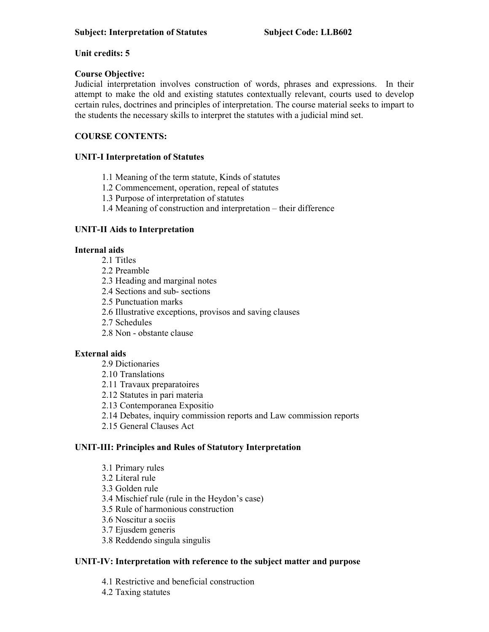# Unit credits: 5

# Course Objective:

Judicial interpretation involves construction of words, phrases and expressions. In their attempt to make the old and existing statutes contextually relevant, courts used to develop certain rules, doctrines and principles of interpretation. The course material seeks to impart to the students the necessary skills to interpret the statutes with a judicial mind set.

# COURSE CONTENTS:

# UNIT-I Interpretation of Statutes

- 1.1 Meaning of the term statute, Kinds of statutes
- 1.2 Commencement, operation, repeal of statutes
- 1.3 Purpose of interpretation of statutes
- 1.4 Meaning of construction and interpretation their difference

# UNIT-II Aids to Interpretation

### Internal aids

- 2.1 Titles
	- 2.2 Preamble
	- 2.3 Heading and marginal notes
	- 2.4 Sections and sub- sections
	- 2.5 Punctuation marks
	- 2.6 Illustrative exceptions, provisos and saving clauses
	- 2.7 Schedules
	- 2.8 Non obstante clause

### External aids

- 2.9 Dictionaries
- 2.10 Translations
- 2.11 Travaux preparatoires
- 2.12 Statutes in pari materia
- 2.13 Contemporanea Expositio
- 2.14 Debates, inquiry commission reports and Law commission reports
- 2.15 General Clauses Act

### UNIT-III: Principles and Rules of Statutory Interpretation

- 3.1 Primary rules
- 3.2 Literal rule
- 3.3 Golden rule
- 3.4 Mischief rule (rule in the Heydon's case)
- 3.5 Rule of harmonious construction
- 3.6 Noscitur a sociis
- 3.7 Ejusdem generis
- 3.8 Reddendo singula singulis

# UNIT-IV: Interpretation with reference to the subject matter and purpose

- 4.1 Restrictive and beneficial construction
- 4.2 Taxing statutes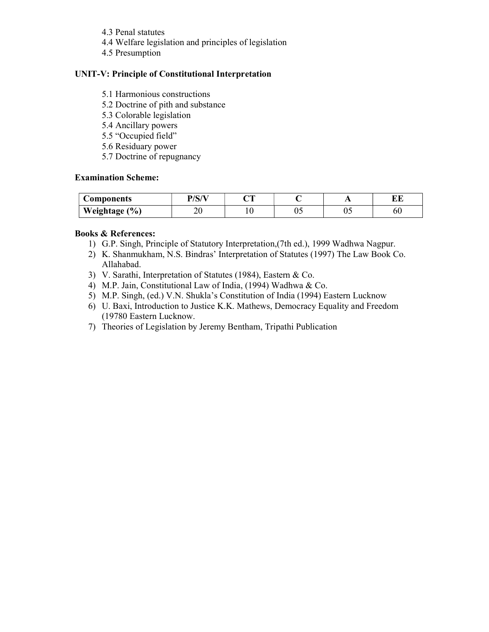- 4.3 Penal statutes
- 4.4 Welfare legislation and principles of legislation
- 4.5 Presumption

## UNIT-V: Principle of Constitutional Interpretation

- 5.1 Harmonious constructions
- 5.2 Doctrine of pith and substance
- 5.3 Colorable legislation
- 5.4 Ancillary powers
- 5.5 "Occupied field"
- 5.6 Residuary power
- 5.7 Doctrine of repugnancy

### Examination Scheme:

| Components                 | DIO A    | $\sim$ |     |          | .  |
|----------------------------|----------|--------|-----|----------|----|
| $\frac{1}{2}$<br>Weightage | ٦r<br>∠∪ |        | ◡ ◡ | ∩∠<br>ບຸ | ou |

### Books & References:

- 1) G.P. Singh, Principle of Statutory Interpretation,(7th ed.), 1999 Wadhwa Nagpur.
- 2) K. Shanmukham, N.S. Bindras' Interpretation of Statutes (1997) The Law Book Co. Allahabad.
- 3) V. Sarathi, Interpretation of Statutes (1984), Eastern & Co.
- 4) M.P. Jain, Constitutional Law of India, (1994) Wadhwa & Co.
- 5) M.P. Singh, (ed.) V.N. Shukla's Constitution of India (1994) Eastern Lucknow
- 6) U. Baxi, Introduction to Justice K.K. Mathews, Democracy Equality and Freedom (19780 Eastern Lucknow.
- 7) Theories of Legislation by Jeremy Bentham, Tripathi Publication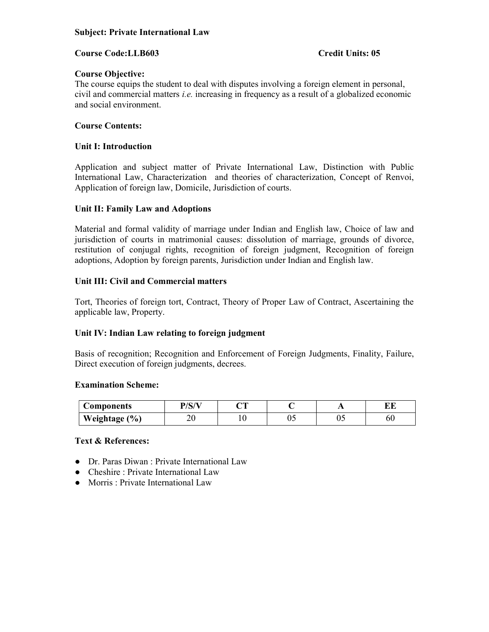### Subject: Private International Law

### Course Code:LLB603 Credit Units: 05

### Course Objective:

The course equips the student to deal with disputes involving a foreign element in personal, civil and commercial matters i.e. increasing in frequency as a result of a globalized economic and social environment.

### Course Contents:

### Unit I: Introduction

Application and subject matter of Private International Law, Distinction with Public International Law, Characterization and theories of characterization, Concept of Renvoi, Application of foreign law, Domicile, Jurisdiction of courts.

### Unit II: Family Law and Adoptions

Material and formal validity of marriage under Indian and English law, Choice of law and jurisdiction of courts in matrimonial causes: dissolution of marriage, grounds of divorce, restitution of conjugal rights, recognition of foreign judgment, Recognition of foreign adoptions, Adoption by foreign parents, Jurisdiction under Indian and English law.

### Unit III: Civil and Commercial matters

Tort, Theories of foreign tort, Contract, Theory of Proper Law of Contract, Ascertaining the applicable law, Property.

### Unit IV: Indian Law relating to foreign judgment

Basis of recognition; Recognition and Enforcement of Foreign Judgments, Finality, Failure, Direct execution of foreign judgments, decrees.

#### Examination Scheme:

| Components    | D/C/V | $\sim$ |    |    | -- |
|---------------|-------|--------|----|----|----|
| Weightage (%) | ∠∪    | ιv     | υ. | ∪~ | 6U |

### Text & References:

- Dr. Paras Diwan : Private International Law
- Cheshire : Private International Law
- Morris : Private International Law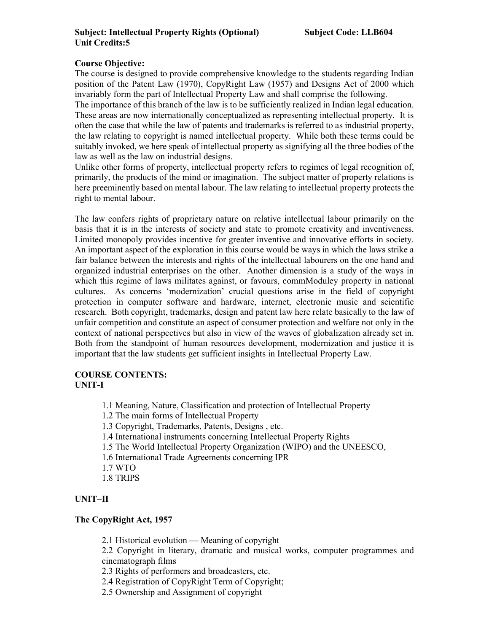# Course Objective:

The course is designed to provide comprehensive knowledge to the students regarding Indian position of the Patent Law (1970), CopyRight Law (1957) and Designs Act of 2000 which invariably form the part of Intellectual Property Law and shall comprise the following.

The importance of this branch of the law is to be sufficiently realized in Indian legal education. These areas are now internationally conceptualized as representing intellectual property. It is often the case that while the law of patents and trademarks is referred to as industrial property, the law relating to copyright is named intellectual property. While both these terms could be suitably invoked, we here speak of intellectual property as signifying all the three bodies of the law as well as the law on industrial designs.

Unlike other forms of property, intellectual property refers to regimes of legal recognition of, primarily, the products of the mind or imagination. The subject matter of property relations is here preeminently based on mental labour. The law relating to intellectual property protects the right to mental labour.

The law confers rights of proprietary nature on relative intellectual labour primarily on the basis that it is in the interests of society and state to promote creativity and inventiveness. Limited monopoly provides incentive for greater inventive and innovative efforts in society. An important aspect of the exploration in this course would be ways in which the laws strike a fair balance between the interests and rights of the intellectual labourers on the one hand and organized industrial enterprises on the other. Another dimension is a study of the ways in which this regime of laws militates against, or favours, commModuley property in national cultures. As concerns 'modernization' crucial questions arise in the field of copyright protection in computer software and hardware, internet, electronic music and scientific research. Both copyright, trademarks, design and patent law here relate basically to the law of unfair competition and constitute an aspect of consumer protection and welfare not only in the context of national perspectives but also in view of the waves of globalization already set in. Both from the standpoint of human resources development, modernization and justice it is important that the law students get sufficient insights in Intellectual Property Law.

#### COURSE CONTENTS: UNIT-I

- 1.1 Meaning, Nature, Classification and protection of Intellectual Property
- 1.2 The main forms of Intellectual Property
- 1.3 Copyright, Trademarks, Patents, Designs , etc.
- 1.4 International instruments concerning Intellectual Property Rights
- 1.5 The World Intellectual Property Organization (WIPO) and the UNEESCO,
- 1.6 International Trade Agreements concerning IPR
- 1.7 WTO
- 1.8 TRIPS

# UNIT–II

# The CopyRight Act, 1957

2.1 Historical evolution — Meaning of copyright

2.2 Copyright in literary, dramatic and musical works, computer programmes and cinematograph films

- 2.3 Rights of performers and broadcasters, etc.
- 2.4 Registration of CopyRight Term of Copyright;
- 2.5 Ownership and Assignment of copyright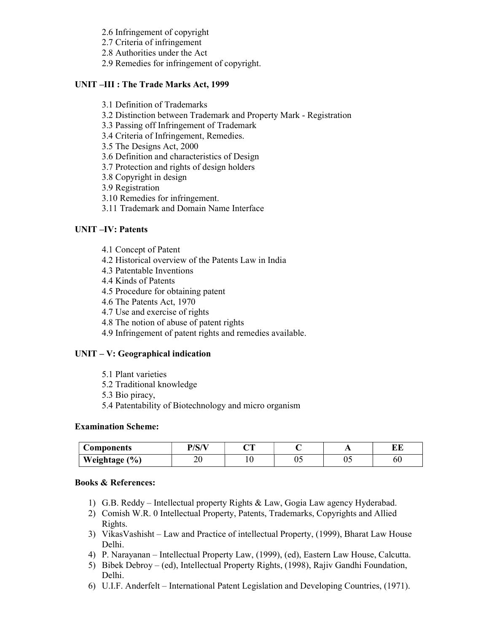2.6 Infringement of copyright

2.7 Criteria of infringement

2.8 Authorities under the Act

2.9 Remedies for infringement of copyright.

### UNIT –III : The Trade Marks Act, 1999

- 3.1 Definition of Trademarks
- 3.2 Distinction between Trademark and Property Mark Registration
- 3.3 Passing off Infringement of Trademark
- 3.4 Criteria of Infringement, Remedies.

3.5 The Designs Act, 2000

- 3.6 Definition and characteristics of Design
- 3.7 Protection and rights of design holders
- 3.8 Copyright in design
- 3.9 Registration
- 3.10 Remedies for infringement.
- 3.11 Trademark and Domain Name Interface

# UNIT –IV: Patents

- 4.1 Concept of Patent
- 4.2 Historical overview of the Patents Law in India
- 4.3 Patentable Inventions
- 4.4 Kinds of Patents
- 4.5 Procedure for obtaining patent
- 4.6 The Patents Act, 1970
- 4.7 Use and exercise of rights
- 4.8 The notion of abuse of patent rights
- 4.9 Infringement of patent rights and remedies available.

# UNIT – V: Geographical indication

- 5.1 Plant varieties
- 5.2 Traditional knowledge
- 5.3 Bio piracy,
- 5.4 Patentability of Biotechnology and micro organism

### Examination Scheme:

| Components    | D/C/V | חד |    | . . |    |
|---------------|-------|----|----|-----|----|
| Weightage (%) | ∠∪    |    | ∪~ | υ.  | ou |

### Books & References:

- 1) G.B. Reddy Intellectual property Rights & Law, Gogia Law agency Hyderabad.
- 2) Comish W.R. 0 Intellectual Property, Patents, Trademarks, Copyrights and Allied Rights.
- 3) VikasVashisht Law and Practice of intellectual Property, (1999), Bharat Law House Delhi.
- 4) P. Narayanan Intellectual Property Law, (1999), (ed), Eastern Law House, Calcutta.
- 5) Bibek Debroy (ed), Intellectual Property Rights, (1998), Rajiv Gandhi Foundation, Delhi.
- 6) U.I.F. Anderfelt International Patent Legislation and Developing Countries, (1971).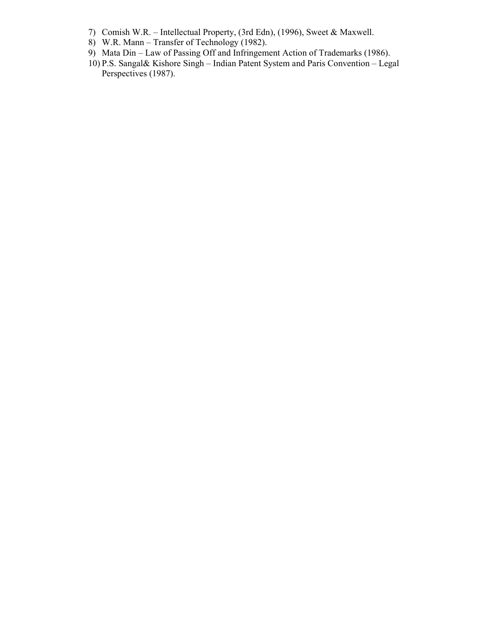- 7) Comish W.R. Intellectual Property, (3rd Edn), (1996), Sweet & Maxwell.
- 8) W.R. Mann Transfer of Technology (1982).
- 9) Mata Din Law of Passing Off and Infringement Action of Trademarks (1986).
- 10) P.S. Sangal& Kishore Singh Indian Patent System and Paris Convention Legal Perspectives (1987).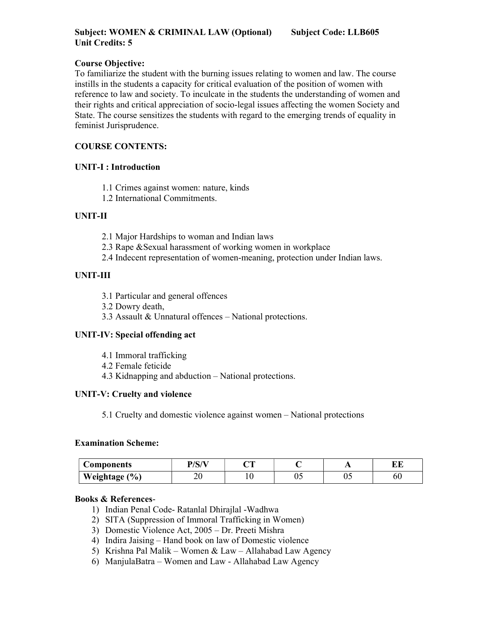### Subject: WOMEN & CRIMINAL LAW (Optional) Subject Code: LLB605 Unit Credits: 5

# Course Objective:

To familiarize the student with the burning issues relating to women and law. The course instills in the students a capacity for critical evaluation of the position of women with reference to law and society. To inculcate in the students the understanding of women and their rights and critical appreciation of socio-legal issues affecting the women Society and State. The course sensitizes the students with regard to the emerging trends of equality in feminist Jurisprudence.

# COURSE CONTENTS:

# UNIT-I : Introduction

- 1.1 Crimes against women: nature, kinds
- 1.2 International Commitments.

# UNIT-II

- 2.1 Major Hardships to woman and Indian laws
- 2.3 Rape &Sexual harassment of working women in workplace
- 2.4 Indecent representation of women-meaning, protection under Indian laws.

# UNIT-III

- 3.1 Particular and general offences
- 3.2 Dowry death,
- 3.3 Assault & Unnatural offences National protections.

# UNIT-IV: Special offending act

- 4.1 Immoral trafficking
- 4.2 Female feticide
- 4.3 Kidnapping and abduction National protections.

# UNIT-V: Cruelty and violence

5.1 Cruelty and domestic violence against women – National protections

### Examination Scheme:

| Components    | D/C/K<br>$\mathbf{v}$ | חר |    |          |    |
|---------------|-----------------------|----|----|----------|----|
| Weightage (%) | ∠∪                    |    | ∪~ | ∩∠<br>∪~ | ou |

### Books & References-

- 1) Indian Penal Code- Ratanlal Dhirajlal -Wadhwa
- 2) SITA (Suppression of Immoral Trafficking in Women)
- 3) Domestic Violence Act, 2005 Dr. Preeti Mishra
- 4) Indira Jaising Hand book on law of Domestic violence
- 5) Krishna Pal Malik Women & Law Allahabad Law Agency
- 6) ManjulaBatra Women and Law Allahabad Law Agency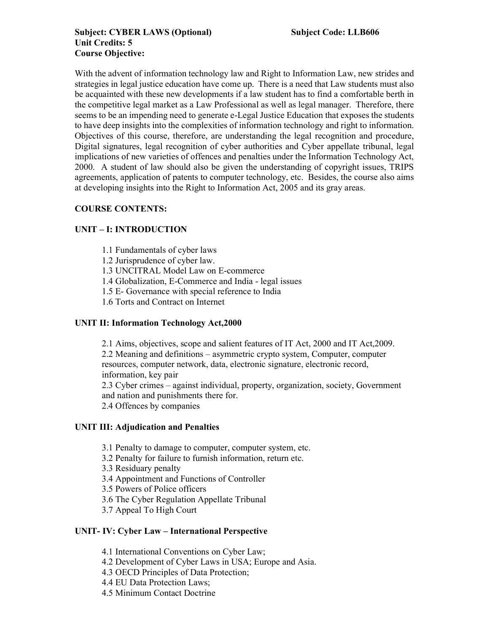With the advent of information technology law and Right to Information Law, new strides and strategies in legal justice education have come up. There is a need that Law students must also be acquainted with these new developments if a law student has to find a comfortable berth in the competitive legal market as a Law Professional as well as legal manager. Therefore, there seems to be an impending need to generate e-Legal Justice Education that exposes the students to have deep insights into the complexities of information technology and right to information. Objectives of this course, therefore, are understanding the legal recognition and procedure, Digital signatures, legal recognition of cyber authorities and Cyber appellate tribunal, legal implications of new varieties of offences and penalties under the Information Technology Act, 2000. A student of law should also be given the understanding of copyright issues, TRIPS agreements, application of patents to computer technology, etc. Besides, the course also aims at developing insights into the Right to Information Act, 2005 and its gray areas.

# COURSE CONTENTS:

# UNIT – I: INTRODUCTION

- 1.1 Fundamentals of cyber laws
- 1.2 Jurisprudence of cyber law.
- 1.3 UNCITRAL Model Law on E-commerce
- 1.4 Globalization, E-Commerce and India legal issues
- 1.5 E- Governance with special reference to India
- 1.6 Torts and Contract on Internet

### UNIT II: Information Technology Act,2000

2.1 Aims, objectives, scope and salient features of IT Act, 2000 and IT Act,2009. 2.2 Meaning and definitions – asymmetric crypto system, Computer, computer resources, computer network, data, electronic signature, electronic record, information, key pair 2.3 Cyber crimes – against individual, property, organization, society, Government and nation and punishments there for. 2.4 Offences by companies

### UNIT III: Adjudication and Penalties

- 3.1 Penalty to damage to computer, computer system, etc.
- 3.2 Penalty for failure to furnish information, return etc.
- 3.3 Residuary penalty
- 3.4 Appointment and Functions of Controller
- 3.5 Powers of Police officers
- 3.6 The Cyber Regulation Appellate Tribunal
- 3.7 Appeal To High Court

### UNIT- IV: Cyber Law – International Perspective

- 4.1 International Conventions on Cyber Law;
- 4.2 Development of Cyber Laws in USA; Europe and Asia.
- 4.3 OECD Principles of Data Protection;
- 4.4 EU Data Protection Laws;
- 4.5 Minimum Contact Doctrine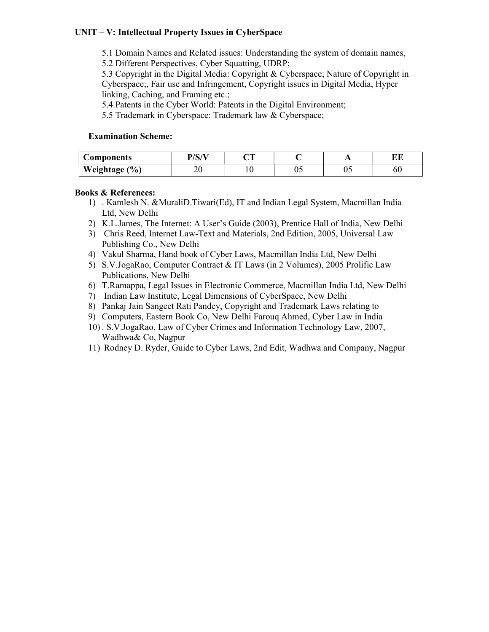# UNIT – V: Intellectual Property Issues in CyberSpace

5.1 Domain Names and Related issues: Understanding the system of domain names, 5.2 Different Perspectives, Cyber Squatting, UDRP;

5.3 Copyright in the Digital Media: Copyright & Cyberspace; Nature of Copyright in Cyberspace;, Fair use and Infringement, Copyright issues in Digital Media, Hyper linking, Caching, and Framing etc.;

5.4 Patents in the Cyber World: Patents in the Digital Environment;

5.5 Trademark in Cyberspace: Trademark law & Cyberspace;

### Examination Scheme:

| Components    | D/C/V' | $\sim$ |    | . .                 | ים ים<br>பப |
|---------------|--------|--------|----|---------------------|-------------|
| Weightage (%) | ∠∪     |        | ◡◡ | $\sim$ $\sim$<br>∪~ | υu          |

### Books & References:

- 1) . Kamlesh N. &MuraliD.Tiwari(Ed), IT and Indian Legal System, Macmillan India Ltd, New Delhi
- 2) K.L.James, The Internet: A User's Guide (2003), Prentice Hall of India, New Delhi
- 3) Chris Reed, Internet Law-Text and Materials, 2nd Edition, 2005, Universal Law Publishing Co., New Delhi
- 4) Vakul Sharma, Hand book of Cyber Laws, Macmillan India Ltd, New Delhi
- 5) S.V.JogaRao, Computer Contract & IT Laws (in 2 Volumes), 2005 Prolific Law Publications, New Delhi
- 6) T.Ramappa, Legal Issues in Electronic Commerce, Macmillan India Ltd, New Delhi
- 7) Indian Law Institute, Legal Dimensions of CyberSpace, New Delhi
- 8) Pankaj Jain Sangeet Rati Pandey, Copyright and Trademark Laws relating to
- 9) Computers, Eastern Book Co, New Delhi Farouq Ahmed, Cyber Law in India
- 10) . S.V.JogaRao, Law of Cyber Crimes and Information Technology Law, 2007, Wadhwa& Co, Nagpur
- 11) Rodney D. Ryder, Guide to Cyber Laws, 2nd Edit, Wadhwa and Company, Nagpur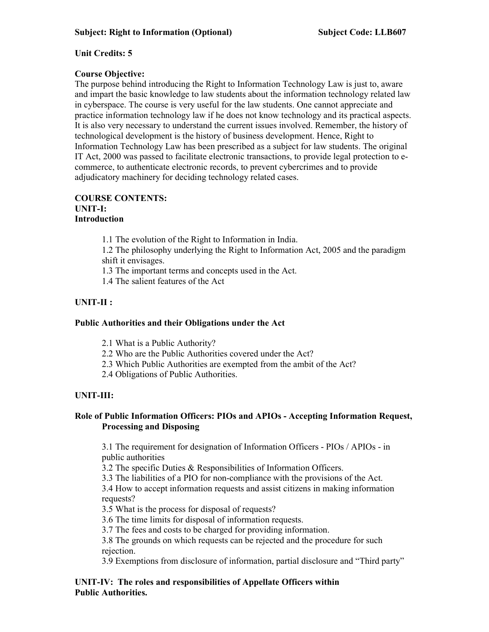# Unit Credits: 5

# Course Objective:

The purpose behind introducing the Right to Information Technology Law is just to, aware and impart the basic knowledge to law students about the information technology related law in cyberspace. The course is very useful for the law students. One cannot appreciate and practice information technology law if he does not know technology and its practical aspects. It is also very necessary to understand the current issues involved. Remember, the history of technological development is the history of business development. Hence, Right to Information Technology Law has been prescribed as a subject for law students. The original IT Act, 2000 was passed to facilitate electronic transactions, to provide legal protection to ecommerce, to authenticate electronic records, to prevent cybercrimes and to provide adjudicatory machinery for deciding technology related cases.

### COURSE CONTENTS: UNIT-I: Introduction

1.1 The evolution of the Right to Information in India.

- 1.2 The philosophy underlying the Right to Information Act, 2005 and the paradigm shift it envisages.
- 1.3 The important terms and concepts used in the Act.
- 1.4 The salient features of the Act

# UNIT-II :

# Public Authorities and their Obligations under the Act

- 2.1 What is a Public Authority?
- 2.2 Who are the Public Authorities covered under the Act?
- 2.3 Which Public Authorities are exempted from the ambit of the Act?
- 2.4 Obligations of Public Authorities.

# UNIT-III:

# Role of Public Information Officers: PIOs and APIOs - Accepting Information Request, Processing and Disposing

3.1 The requirement for designation of Information Officers - PIOs / APIOs - in public authorities

3.2 The specific Duties & Responsibilities of Information Officers.

3.3 The liabilities of a PIO for non-compliance with the provisions of the Act.

3.4 How to accept information requests and assist citizens in making information requests?

3.5 What is the process for disposal of requests?

3.6 The time limits for disposal of information requests.

3.7 The fees and costs to be charged for providing information.

3.8 The grounds on which requests can be rejected and the procedure for such rejection.

3.9 Exemptions from disclosure of information, partial disclosure and "Third party"

UNIT-IV: The roles and responsibilities of Appellate Officers within Public Authorities.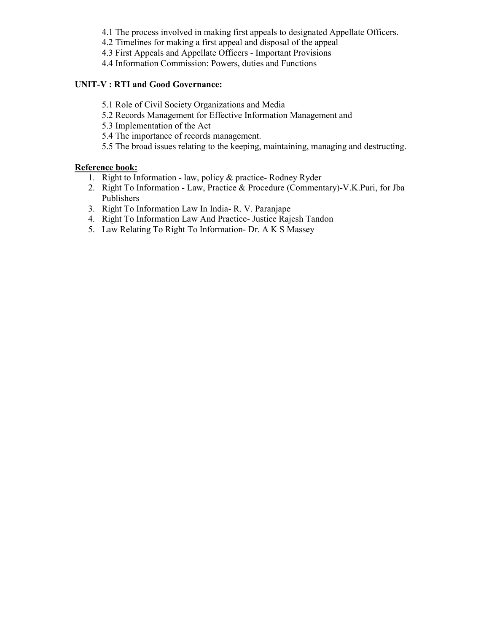- 4.1 The process involved in making first appeals to designated Appellate Officers.
- 4.2 Timelines for making a first appeal and disposal of the appeal
- 4.3 First Appeals and Appellate Officers Important Provisions
- 4.4 Information Commission: Powers, duties and Functions

# UNIT-V : RTI and Good Governance:

- 5.1 Role of Civil Society Organizations and Media
- 5.2 Records Management for Effective Information Management and
- 5.3 Implementation of the Act
- 5.4 The importance of records management.
- 5.5 The broad issues relating to the keeping, maintaining, managing and destructing.

# Reference book:

- 1. Right to Information law, policy & practice- Rodney Ryder
- 2. Right To Information Law, Practice & Procedure (Commentary)-V.K.Puri, for Jba Publishers
- 3. Right To Information Law In India- R. V. Paranjape
- 4. Right To Information Law And Practice- Justice Rajesh Tandon
- 5. Law Relating To Right To Information- Dr. A K S Massey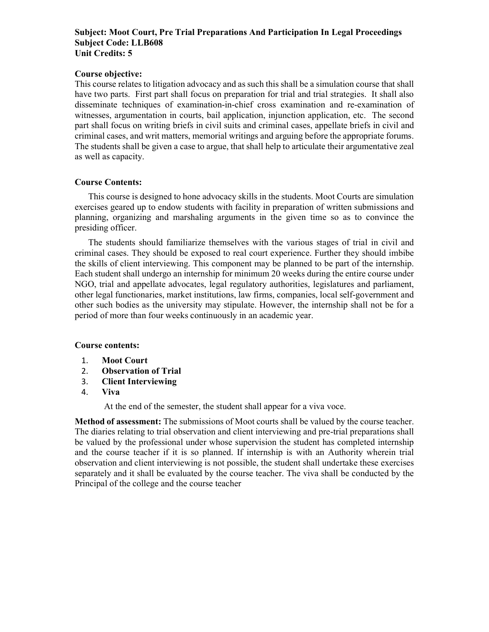#### Subject: Moot Court, Pre Trial Preparations And Participation In Legal Proceedings Subject Code: LLB608 Unit Credits: 5

#### Course objective:

This course relates to litigation advocacy and as such this shall be a simulation course that shall have two parts. First part shall focus on preparation for trial and trial strategies. It shall also disseminate techniques of examination-in-chief cross examination and re-examination of witnesses, argumentation in courts, bail application, injunction application, etc. The second part shall focus on writing briefs in civil suits and criminal cases, appellate briefs in civil and criminal cases, and writ matters, memorial writings and arguing before the appropriate forums. The students shall be given a case to argue, that shall help to articulate their argumentative zeal as well as capacity.

## Course Contents:

This course is designed to hone advocacy skills in the students. Moot Courts are simulation exercises geared up to endow students with facility in preparation of written submissions and planning, organizing and marshaling arguments in the given time so as to convince the presiding officer.

The students should familiarize themselves with the various stages of trial in civil and criminal cases. They should be exposed to real court experience. Further they should imbibe the skills of client interviewing. This component may be planned to be part of the internship. Each student shall undergo an internship for minimum 20 weeks during the entire course under NGO, trial and appellate advocates, legal regulatory authorities, legislatures and parliament, other legal functionaries, market institutions, law firms, companies, local self-government and other such bodies as the university may stipulate. However, the internship shall not be for a period of more than four weeks continuously in an academic year.

## Course contents:

- 1. Moot Court
- 2. Observation of Trial
- 3. Client Interviewing
- 4. Viva

At the end of the semester, the student shall appear for a viva voce.

Method of assessment: The submissions of Moot courts shall be valued by the course teacher. The diaries relating to trial observation and client interviewing and pre-trial preparations shall be valued by the professional under whose supervision the student has completed internship and the course teacher if it is so planned. If internship is with an Authority wherein trial observation and client interviewing is not possible, the student shall undertake these exercises separately and it shall be evaluated by the course teacher. The viva shall be conducted by the Principal of the college and the course teacher